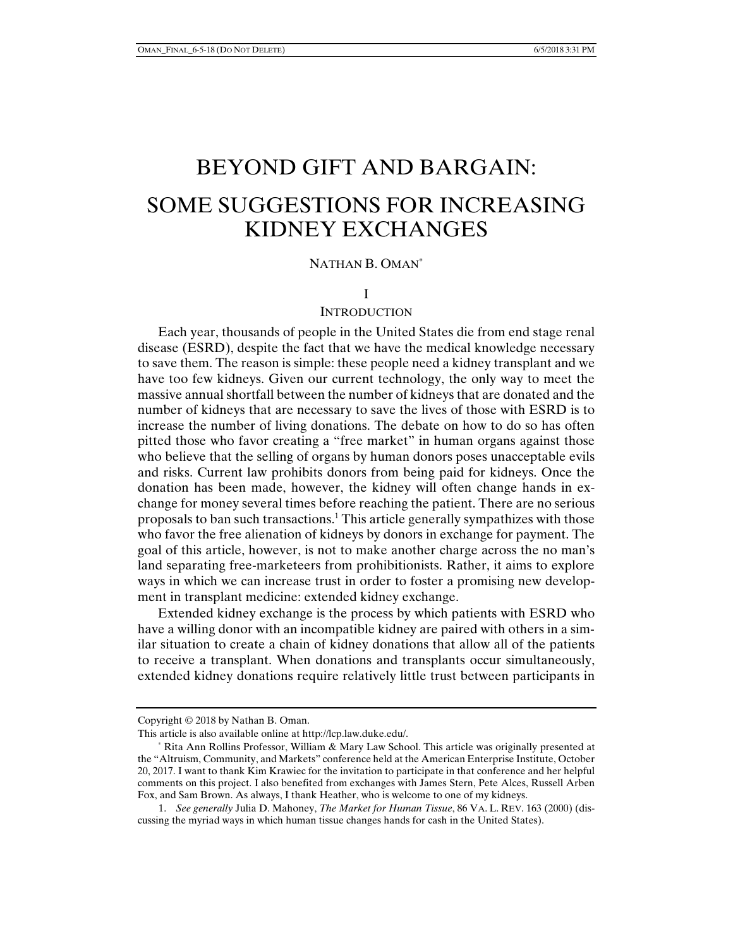# BEYOND GIFT AND BARGAIN: SOME SUGGESTIONS FOR INCREASING KIDNEY EXCHANGES

# NATHAN B. OMAN\*

#### I

### **INTRODUCTION**

Each year, thousands of people in the United States die from end stage renal disease (ESRD), despite the fact that we have the medical knowledge necessary to save them. The reason is simple: these people need a kidney transplant and we have too few kidneys. Given our current technology, the only way to meet the massive annual shortfall between the number of kidneys that are donated and the number of kidneys that are necessary to save the lives of those with ESRD is to increase the number of living donations. The debate on how to do so has often pitted those who favor creating a "free market" in human organs against those who believe that the selling of organs by human donors poses unacceptable evils and risks. Current law prohibits donors from being paid for kidneys. Once the donation has been made, however, the kidney will often change hands in exchange for money several times before reaching the patient. There are no serious proposals to ban such transactions.<sup>1</sup> This article generally sympathizes with those who favor the free alienation of kidneys by donors in exchange for payment. The goal of this article, however, is not to make another charge across the no man's land separating free-marketeers from prohibitionists. Rather, it aims to explore ways in which we can increase trust in order to foster a promising new development in transplant medicine: extended kidney exchange.

Extended kidney exchange is the process by which patients with ESRD who have a willing donor with an incompatible kidney are paired with others in a similar situation to create a chain of kidney donations that allow all of the patients to receive a transplant. When donations and transplants occur simultaneously, extended kidney donations require relatively little trust between participants in

Copyright © 2018 by Nathan B. Oman.

This article is also available online at http://lcp.law.duke.edu/.

 <sup>\*</sup> Rita Ann Rollins Professor, William & Mary Law School. This article was originally presented at the "Altruism, Community, and Markets" conference held at the American Enterprise Institute, October 20, 2017. I want to thank Kim Krawiec for the invitation to participate in that conference and her helpful comments on this project. I also benefited from exchanges with James Stern, Pete Alces, Russell Arben Fox, and Sam Brown. As always, I thank Heather, who is welcome to one of my kidneys.

 <sup>1.</sup> *See generally* Julia D. Mahoney, *The Market for Human Tissue*, 86 VA. L. REV. 163 (2000) (discussing the myriad ways in which human tissue changes hands for cash in the United States).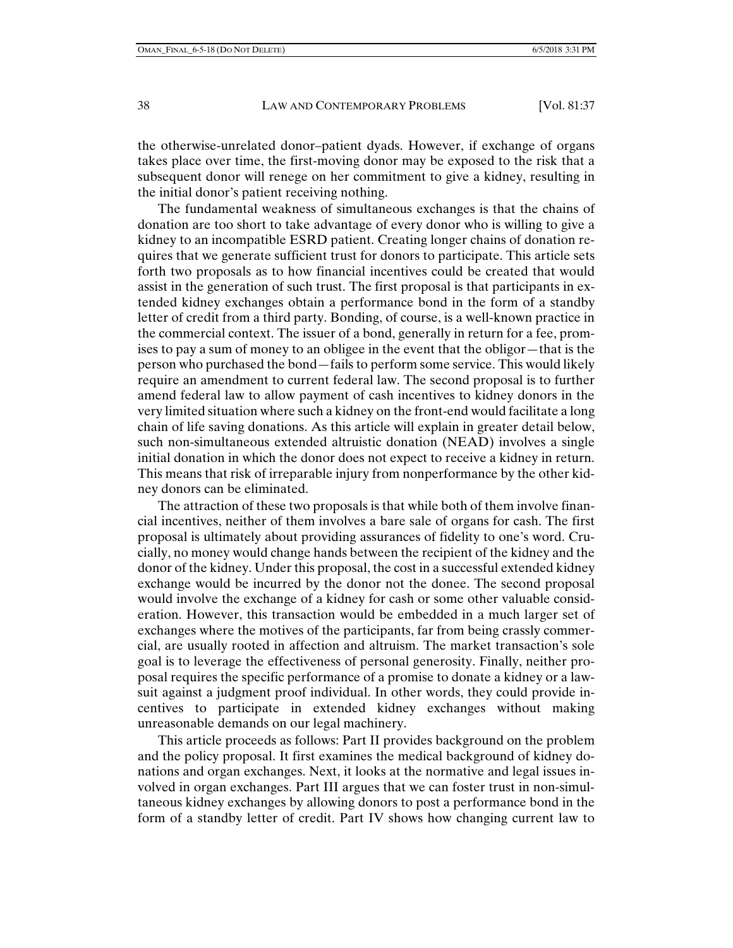the otherwise-unrelated donor–patient dyads. However, if exchange of organs takes place over time, the first-moving donor may be exposed to the risk that a subsequent donor will renege on her commitment to give a kidney, resulting in the initial donor's patient receiving nothing.

The fundamental weakness of simultaneous exchanges is that the chains of donation are too short to take advantage of every donor who is willing to give a kidney to an incompatible ESRD patient. Creating longer chains of donation requires that we generate sufficient trust for donors to participate. This article sets forth two proposals as to how financial incentives could be created that would assist in the generation of such trust. The first proposal is that participants in extended kidney exchanges obtain a performance bond in the form of a standby letter of credit from a third party. Bonding, of course, is a well-known practice in the commercial context. The issuer of a bond, generally in return for a fee, promises to pay a sum of money to an obligee in the event that the obligor—that is the person who purchased the bond—fails to perform some service. This would likely require an amendment to current federal law. The second proposal is to further amend federal law to allow payment of cash incentives to kidney donors in the very limited situation where such a kidney on the front-end would facilitate a long chain of life saving donations. As this article will explain in greater detail below, such non-simultaneous extended altruistic donation (NEAD) involves a single initial donation in which the donor does not expect to receive a kidney in return. This means that risk of irreparable injury from nonperformance by the other kidney donors can be eliminated.

The attraction of these two proposals is that while both of them involve financial incentives, neither of them involves a bare sale of organs for cash. The first proposal is ultimately about providing assurances of fidelity to one's word. Crucially, no money would change hands between the recipient of the kidney and the donor of the kidney. Under this proposal, the cost in a successful extended kidney exchange would be incurred by the donor not the donee. The second proposal would involve the exchange of a kidney for cash or some other valuable consideration. However, this transaction would be embedded in a much larger set of exchanges where the motives of the participants, far from being crassly commercial, are usually rooted in affection and altruism. The market transaction's sole goal is to leverage the effectiveness of personal generosity. Finally, neither proposal requires the specific performance of a promise to donate a kidney or a lawsuit against a judgment proof individual. In other words, they could provide incentives to participate in extended kidney exchanges without making unreasonable demands on our legal machinery.

This article proceeds as follows: Part II provides background on the problem and the policy proposal. It first examines the medical background of kidney donations and organ exchanges. Next, it looks at the normative and legal issues involved in organ exchanges. Part III argues that we can foster trust in non-simultaneous kidney exchanges by allowing donors to post a performance bond in the form of a standby letter of credit. Part IV shows how changing current law to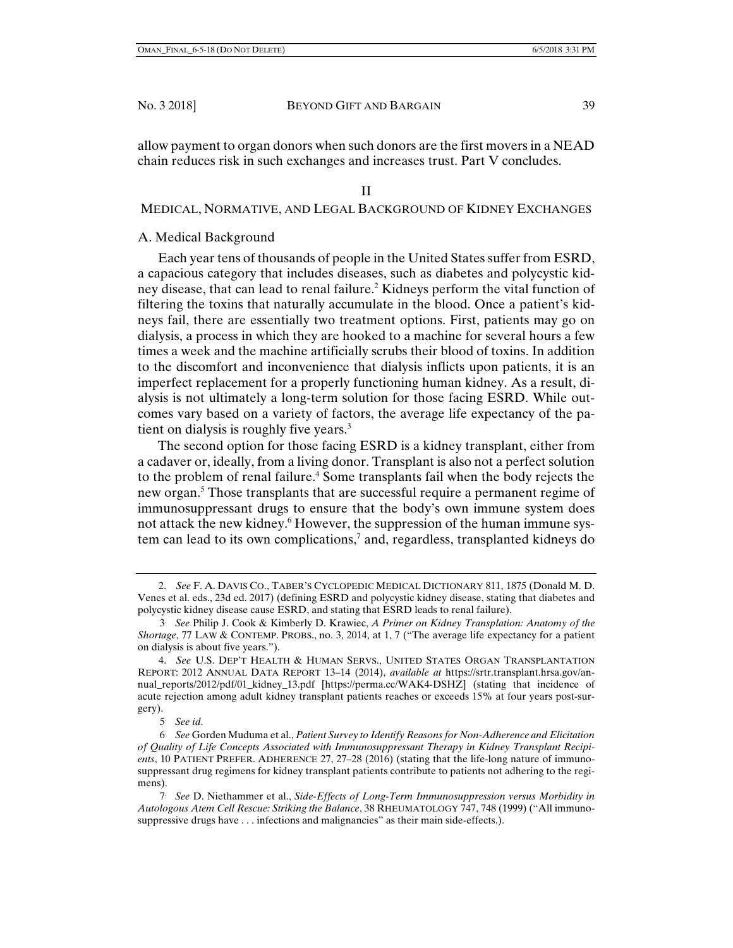#### II

#### MEDICAL, NORMATIVE, AND LEGAL BACKGROUND OF KIDNEY EXCHANGES

## A. Medical Background

Each year tens of thousands of people in the United States suffer from ESRD, a capacious category that includes diseases, such as diabetes and polycystic kidney disease, that can lead to renal failure.<sup>2</sup> Kidneys perform the vital function of filtering the toxins that naturally accumulate in the blood. Once a patient's kidneys fail, there are essentially two treatment options. First, patients may go on dialysis, a process in which they are hooked to a machine for several hours a few times a week and the machine artificially scrubs their blood of toxins. In addition to the discomfort and inconvenience that dialysis inflicts upon patients, it is an imperfect replacement for a properly functioning human kidney. As a result, dialysis is not ultimately a long-term solution for those facing ESRD. While outcomes vary based on a variety of factors, the average life expectancy of the patient on dialysis is roughly five years.<sup>3</sup>

The second option for those facing ESRD is a kidney transplant, either from a cadaver or, ideally, from a living donor. Transplant is also not a perfect solution to the problem of renal failure.<sup>4</sup> Some transplants fail when the body rejects the new organ.<sup>5</sup> Those transplants that are successful require a permanent regime of immunosuppressant drugs to ensure that the body's own immune system does not attack the new kidney.<sup>6</sup> However, the suppression of the human immune system can lead to its own complications,<sup>7</sup> and, regardless, transplanted kidneys do

5. *See id*.

 <sup>2.</sup> *See* F. A. DAVIS CO., TABER'S CYCLOPEDIC MEDICAL DICTIONARY 811, 1875 (Donald M. D. Venes et al. eds., 23d ed. 2017) (defining ESRD and polycystic kidney disease, stating that diabetes and polycystic kidney disease cause ESRD, and stating that ESRD leads to renal failure).

<sup>3.</sup> *See* Philip J. Cook & Kimberly D. Krawiec, *A Primer on Kidney Transplation: Anatomy of the Shortage*, 77 LAW & CONTEMP. PROBS., no. 3, 2014, at 1, 7 ("The average life expectancy for a patient on dialysis is about five years.").

 <sup>4.</sup> *See* U.S. DEP'T HEALTH & HUMAN SERVS., UNITED STATES ORGAN TRANSPLANTATION REPORT: 2012 ANNUAL DATA REPORT 13–14 (2014), *available at* https://srtr.transplant.hrsa.gov/annual\_reports/2012/pdf/01\_kidney\_13.pdf [https://perma.cc/WAK4-DSHZ] (stating that incidence of acute rejection among adult kidney transplant patients reaches or exceeds 15% at four years post-surgery).

<sup>6.</sup> *See* Gorden Muduma et al., *Patient Survey to Identify Reasons for Non-Adherence and Elicitation of Quality of Life Concepts Associated with Immunosuppressant Therapy in Kidney Transplant Recipients*, 10 PATIENT PREFER. ADHERENCE 27, 27–28 (2016) (stating that the life-long nature of immunosuppressant drug regimens for kidney transplant patients contribute to patients not adhering to the regimens).

<sup>7.</sup> *See* D. Niethammer et al., *Side-Effects of Long-Term Immunosuppression versus Morbidity in Autologous Atem Cell Rescue: Striking the Balance*, 38 RHEUMATOLOGY 747, 748 (1999) ("All immunosuppressive drugs have . . . infections and malignancies" as their main side-effects.).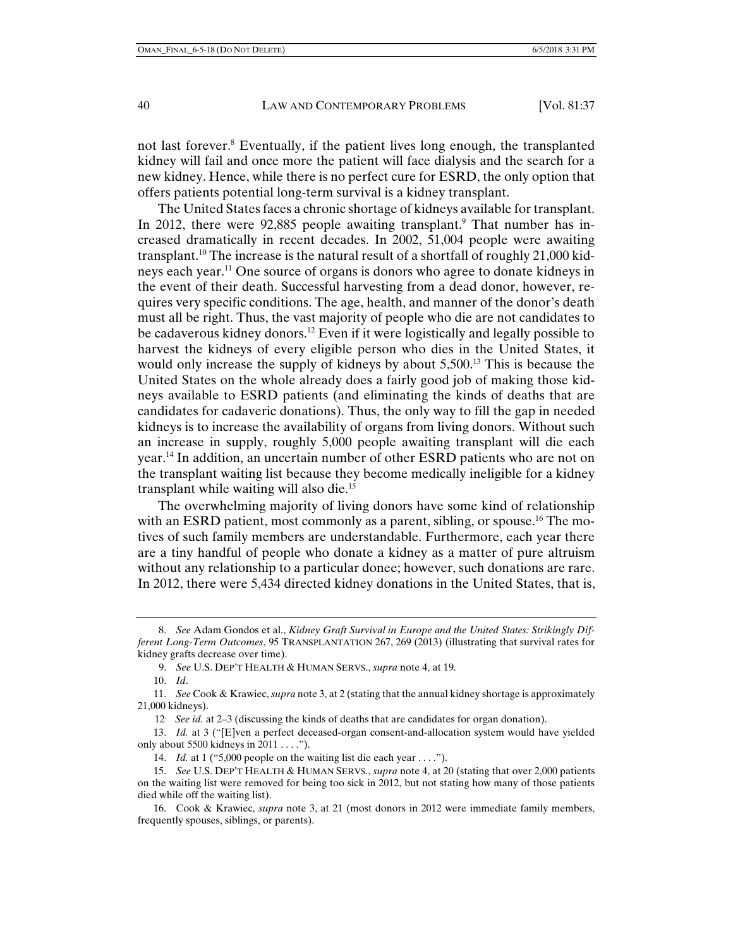not last forever.<sup>8</sup> Eventually, if the patient lives long enough, the transplanted kidney will fail and once more the patient will face dialysis and the search for a new kidney. Hence, while there is no perfect cure for ESRD, the only option that offers patients potential long-term survival is a kidney transplant.

The United States faces a chronic shortage of kidneys available for transplant. In 2012, there were 92,885 people awaiting transplant.<sup>9</sup> That number has increased dramatically in recent decades. In 2002, 51,004 people were awaiting transplant.10 The increase is the natural result of a shortfall of roughly 21,000 kidneys each year.11 One source of organs is donors who agree to donate kidneys in the event of their death. Successful harvesting from a dead donor, however, requires very specific conditions. The age, health, and manner of the donor's death must all be right. Thus, the vast majority of people who die are not candidates to be cadaverous kidney donors.<sup>12</sup> Even if it were logistically and legally possible to harvest the kidneys of every eligible person who dies in the United States, it would only increase the supply of kidneys by about 5,500.<sup>13</sup> This is because the United States on the whole already does a fairly good job of making those kidneys available to ESRD patients (and eliminating the kinds of deaths that are candidates for cadaveric donations). Thus, the only way to fill the gap in needed kidneys is to increase the availability of organs from living donors. Without such an increase in supply, roughly 5,000 people awaiting transplant will die each year.14 In addition, an uncertain number of other ESRD patients who are not on the transplant waiting list because they become medically ineligible for a kidney transplant while waiting will also die.<sup>15</sup>

The overwhelming majority of living donors have some kind of relationship with an ESRD patient, most commonly as a parent, sibling, or spouse.<sup>16</sup> The motives of such family members are understandable. Furthermore, each year there are a tiny handful of people who donate a kidney as a matter of pure altruism without any relationship to a particular donee; however, such donations are rare. In 2012, there were 5,434 directed kidney donations in the United States, that is,

 13. *Id.* at 3 ("[E]ven a perfect deceased-organ consent-and-allocation system would have yielded only about 5500 kidneys in 2011 . . . .").

 <sup>8.</sup> *See* Adam Gondos et al., *Kidney Graft Survival in Europe and the United States: Strikingly Different Long-Term Outcomes*, 95 TRANSPLANTATION 267, 269 (2013) (illustrating that survival rates for kidney grafts decrease over time).

 <sup>9.</sup> *See* U.S. DEP'T HEALTH & HUMAN SERVS., *supra* note 4, at 19.

 <sup>10.</sup> *Id*.

 <sup>11.</sup> *See* Cook & Krawiec, *supra* note 3, at 2 (stating that the annual kidney shortage is approximately 21,000 kidneys).

<sup>12.</sup> *See id.* at 2–3 (discussing the kinds of deaths that are candidates for organ donation).

<sup>14.</sup> *Id.* at 1 ("5,000 people on the waiting list die each year . . . .").

 <sup>15.</sup> *See* U.S. DEP'T HEALTH & HUMAN SERVS., *supra* note 4, at 20 (stating that over 2,000 patients on the waiting list were removed for being too sick in 2012, but not stating how many of those patients died while off the waiting list).

 <sup>16.</sup> Cook & Krawiec, *supra* note 3, at 21 (most donors in 2012 were immediate family members, frequently spouses, siblings, or parents).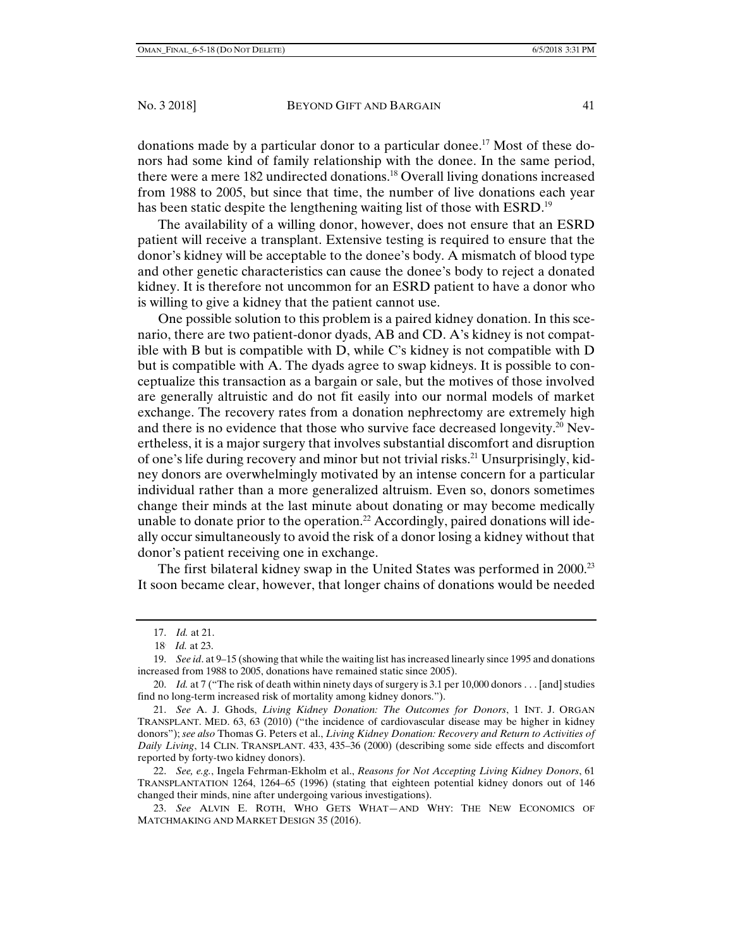donations made by a particular donor to a particular donee.<sup>17</sup> Most of these donors had some kind of family relationship with the donee. In the same period, there were a mere 182 undirected donations.<sup>18</sup> Overall living donations increased from 1988 to 2005, but since that time, the number of live donations each year has been static despite the lengthening waiting list of those with ESRD.<sup>19</sup>

The availability of a willing donor, however, does not ensure that an ESRD patient will receive a transplant. Extensive testing is required to ensure that the donor's kidney will be acceptable to the donee's body. A mismatch of blood type and other genetic characteristics can cause the donee's body to reject a donated kidney. It is therefore not uncommon for an ESRD patient to have a donor who is willing to give a kidney that the patient cannot use.

One possible solution to this problem is a paired kidney donation. In this scenario, there are two patient-donor dyads, AB and CD. A's kidney is not compatible with B but is compatible with D, while C's kidney is not compatible with D but is compatible with A. The dyads agree to swap kidneys. It is possible to conceptualize this transaction as a bargain or sale, but the motives of those involved are generally altruistic and do not fit easily into our normal models of market exchange. The recovery rates from a donation nephrectomy are extremely high and there is no evidence that those who survive face decreased longevity.<sup>20</sup> Nevertheless, it is a major surgery that involves substantial discomfort and disruption of one's life during recovery and minor but not trivial risks.21 Unsurprisingly, kidney donors are overwhelmingly motivated by an intense concern for a particular individual rather than a more generalized altruism. Even so, donors sometimes change their minds at the last minute about donating or may become medically unable to donate prior to the operation.<sup>22</sup> Accordingly, paired donations will ideally occur simultaneously to avoid the risk of a donor losing a kidney without that donor's patient receiving one in exchange.

The first bilateral kidney swap in the United States was performed in 2000.<sup>23</sup> It soon became clear, however, that longer chains of donations would be needed

 <sup>17.</sup> *Id.* at 21.

<sup>18.</sup> *Id.* at 23.

 <sup>19.</sup> *See id*. at 9–15 (showing that while the waiting list has increased linearly since 1995 and donations increased from 1988 to 2005, donations have remained static since 2005).

<sup>20.</sup> *Id.* at 7 ("The risk of death within ninety days of surgery is 3.1 per 10,000 donors . . . [and] studies find no long-term increased risk of mortality among kidney donors.").

 <sup>21.</sup> *See* A. J. Ghods, *Living Kidney Donation: The Outcomes for Donors*, 1 INT. J. ORGAN TRANSPLANT. MED. 63, 63 (2010) ("the incidence of cardiovascular disease may be higher in kidney donors"); *see also* Thomas G. Peters et al., *Living Kidney Donation: Recovery and Return to Activities of Daily Living*, 14 CLIN. TRANSPLANT. 433, 435–36 (2000) (describing some side effects and discomfort reported by forty-two kidney donors).

 <sup>22.</sup> *See, e.g.*, Ingela Fehrman-Ekholm et al., *Reasons for Not Accepting Living Kidney Donors*, 61 TRANSPLANTATION 1264, 1264–65 (1996) (stating that eighteen potential kidney donors out of 146 changed their minds, nine after undergoing various investigations).

 <sup>23.</sup> *See* ALVIN E. ROTH, WHO GETS WHAT—AND WHY: THE NEW ECONOMICS OF MATCHMAKING AND MARKET DESIGN 35 (2016).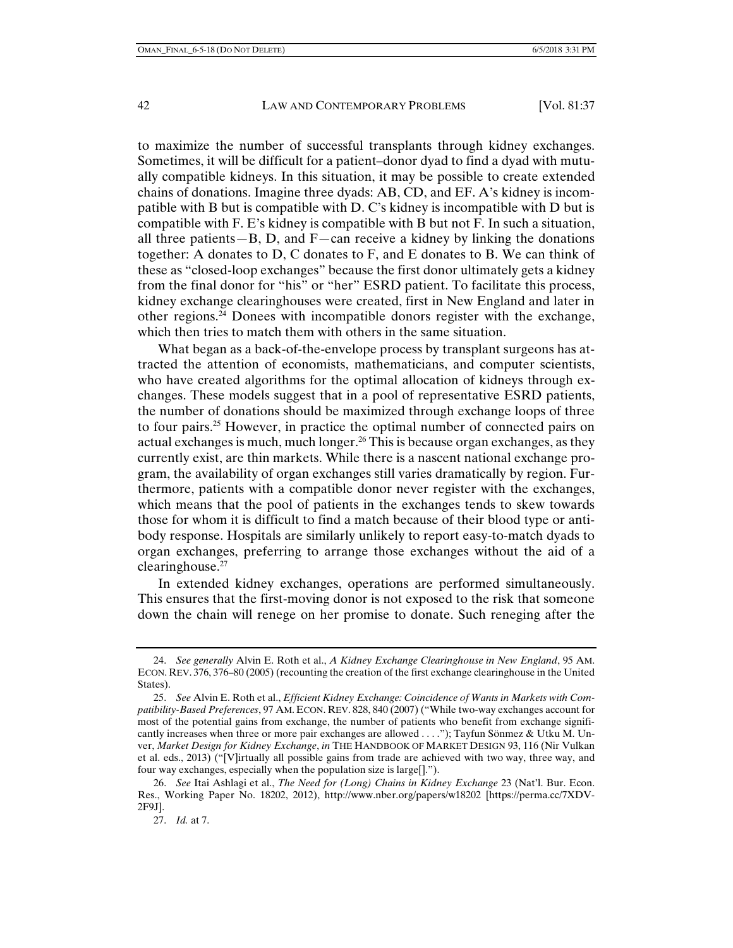to maximize the number of successful transplants through kidney exchanges. Sometimes, it will be difficult for a patient–donor dyad to find a dyad with mutually compatible kidneys. In this situation, it may be possible to create extended chains of donations. Imagine three dyads: AB, CD, and EF. A's kidney is incompatible with B but is compatible with D. C's kidney is incompatible with D but is compatible with F. E's kidney is compatible with B but not F. In such a situation, all three patients—B, D, and  $F$ —can receive a kidney by linking the donations together: A donates to D, C donates to F, and E donates to B. We can think of these as "closed-loop exchanges" because the first donor ultimately gets a kidney from the final donor for "his" or "her" ESRD patient. To facilitate this process, kidney exchange clearinghouses were created, first in New England and later in other regions. $^{24}$  Donees with incompatible donors register with the exchange, which then tries to match them with others in the same situation.

What began as a back-of-the-envelope process by transplant surgeons has attracted the attention of economists, mathematicians, and computer scientists, who have created algorithms for the optimal allocation of kidneys through exchanges. These models suggest that in a pool of representative ESRD patients, the number of donations should be maximized through exchange loops of three to four pairs.25 However, in practice the optimal number of connected pairs on actual exchanges is much, much longer.<sup>26</sup> This is because organ exchanges, as they currently exist, are thin markets. While there is a nascent national exchange program, the availability of organ exchanges still varies dramatically by region. Furthermore, patients with a compatible donor never register with the exchanges, which means that the pool of patients in the exchanges tends to skew towards those for whom it is difficult to find a match because of their blood type or antibody response. Hospitals are similarly unlikely to report easy-to-match dyads to organ exchanges, preferring to arrange those exchanges without the aid of a clearinghouse.27

In extended kidney exchanges, operations are performed simultaneously. This ensures that the first-moving donor is not exposed to the risk that someone down the chain will renege on her promise to donate. Such reneging after the

 <sup>24.</sup> *See generally* Alvin E. Roth et al., *A Kidney Exchange Clearinghouse in New England*, 95 AM. ECON. REV. 376, 376–80 (2005) (recounting the creation of the first exchange clearinghouse in the United States).

 <sup>25.</sup> *See* Alvin E. Roth et al., *Efficient Kidney Exchange: Coincidence of Wants in Markets with Compatibility-Based Preferences*, 97 AM. ECON. REV. 828, 840 (2007) ("While two-way exchanges account for most of the potential gains from exchange, the number of patients who benefit from exchange significantly increases when three or more pair exchanges are allowed . . . ."); Tayfun Sönmez & Utku M. Unver, *Market Design for Kidney Exchange*, *in* THE HANDBOOK OF MARKET DESIGN 93, 116 (Nir Vulkan et al. eds., 2013) ("[V]irtually all possible gains from trade are achieved with two way, three way, and four way exchanges, especially when the population size is large[].").

 <sup>26.</sup> *See* Itai Ashlagi et al., *The Need for (Long) Chains in Kidney Exchange* 23 (Nat'l. Bur. Econ. Res., Working Paper No. 18202, 2012), http://www.nber.org/papers/w18202 [https://perma.cc/7XDV-2F9J].

 <sup>27.</sup> *Id.* at 7.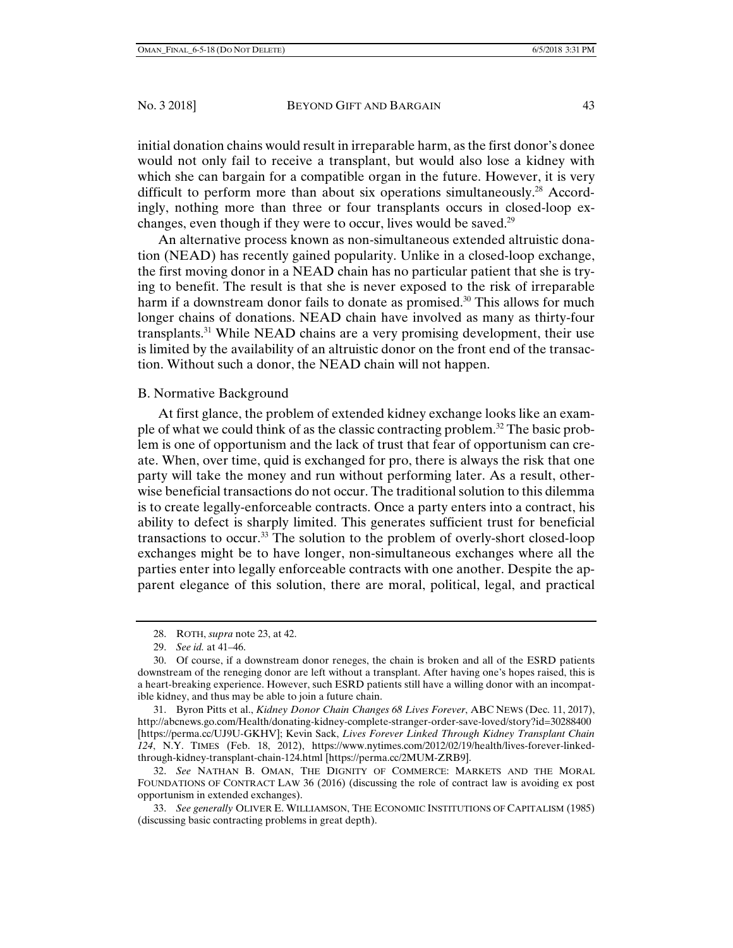initial donation chains would result in irreparable harm, as the first donor's donee would not only fail to receive a transplant, but would also lose a kidney with which she can bargain for a compatible organ in the future. However, it is very difficult to perform more than about six operations simultaneously.<sup>28</sup> Accordingly, nothing more than three or four transplants occurs in closed-loop exchanges, even though if they were to occur, lives would be saved.<sup>29</sup>

An alternative process known as non-simultaneous extended altruistic donation (NEAD) has recently gained popularity. Unlike in a closed-loop exchange, the first moving donor in a NEAD chain has no particular patient that she is trying to benefit. The result is that she is never exposed to the risk of irreparable harm if a downstream donor fails to donate as promised.<sup>30</sup> This allows for much longer chains of donations. NEAD chain have involved as many as thirty-four transplants.31 While NEAD chains are a very promising development, their use is limited by the availability of an altruistic donor on the front end of the transaction. Without such a donor, the NEAD chain will not happen.

## B. Normative Background

At first glance, the problem of extended kidney exchange looks like an example of what we could think of as the classic contracting problem.<sup>32</sup> The basic problem is one of opportunism and the lack of trust that fear of opportunism can create. When, over time, quid is exchanged for pro, there is always the risk that one party will take the money and run without performing later. As a result, otherwise beneficial transactions do not occur. The traditional solution to this dilemma is to create legally-enforceable contracts. Once a party enters into a contract, his ability to defect is sharply limited. This generates sufficient trust for beneficial transactions to occur.33 The solution to the problem of overly-short closed-loop exchanges might be to have longer, non-simultaneous exchanges where all the parties enter into legally enforceable contracts with one another. Despite the apparent elegance of this solution, there are moral, political, legal, and practical

 31. Byron Pitts et al., *Kidney Donor Chain Changes 68 Lives Forever*, ABC NEWS (Dec. 11, 2017), http://abcnews.go.com/Health/donating-kidney-complete-stranger-order-save-loved/story?id=30288400 [https://perma.cc/UJ9U-GKHV]; Kevin Sack, *Lives Forever Linked Through Kidney Transplant Chain 124*, N.Y. TIMES (Feb. 18, 2012), https://www.nytimes.com/2012/02/19/health/lives-forever-linkedthrough-kidney-transplant-chain-124.html [https://perma.cc/2MUM-ZRB9].

 32. *See* NATHAN B. OMAN, THE DIGNITY OF COMMERCE: MARKETS AND THE MORAL FOUNDATIONS OF CONTRACT LAW 36 (2016) (discussing the role of contract law is avoiding ex post opportunism in extended exchanges).

 33. *See generally* OLIVER E. WILLIAMSON, THE ECONOMIC INSTITUTIONS OF CAPITALISM (1985) (discussing basic contracting problems in great depth).

 <sup>28.</sup> ROTH, *supra* note 23, at 42.

 <sup>29.</sup> *See id.* at 41–46.

 <sup>30.</sup> Of course, if a downstream donor reneges, the chain is broken and all of the ESRD patients downstream of the reneging donor are left without a transplant. After having one's hopes raised, this is a heart-breaking experience. However, such ESRD patients still have a willing donor with an incompatible kidney, and thus may be able to join a future chain.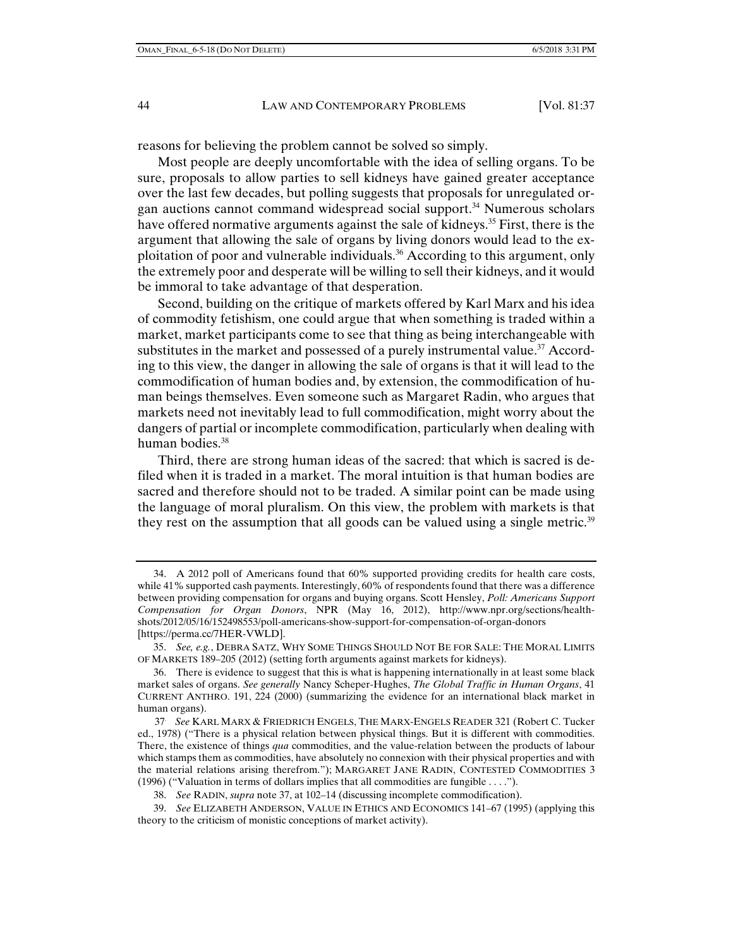reasons for believing the problem cannot be solved so simply.

Most people are deeply uncomfortable with the idea of selling organs. To be sure, proposals to allow parties to sell kidneys have gained greater acceptance over the last few decades, but polling suggests that proposals for unregulated organ auctions cannot command widespread social support.34 Numerous scholars have offered normative arguments against the sale of kidneys.<sup>35</sup> First, there is the argument that allowing the sale of organs by living donors would lead to the exploitation of poor and vulnerable individuals.36 According to this argument, only the extremely poor and desperate will be willing to sell their kidneys, and it would be immoral to take advantage of that desperation.

Second, building on the critique of markets offered by Karl Marx and his idea of commodity fetishism, one could argue that when something is traded within a market, market participants come to see that thing as being interchangeable with substitutes in the market and possessed of a purely instrumental value.<sup>37</sup> According to this view, the danger in allowing the sale of organs is that it will lead to the commodification of human bodies and, by extension, the commodification of human beings themselves. Even someone such as Margaret Radin, who argues that markets need not inevitably lead to full commodification, might worry about the dangers of partial or incomplete commodification, particularly when dealing with human bodies.<sup>38</sup>

Third, there are strong human ideas of the sacred: that which is sacred is defiled when it is traded in a market. The moral intuition is that human bodies are sacred and therefore should not to be traded. A similar point can be made using the language of moral pluralism. On this view, the problem with markets is that they rest on the assumption that all goods can be valued using a single metric.<sup>39</sup>

 <sup>34.</sup> A 2012 poll of Americans found that 60% supported providing credits for health care costs, while 41% supported cash payments. Interestingly, 60% of respondents found that there was a difference between providing compensation for organs and buying organs. Scott Hensley, *Poll: Americans Support Compensation for Organ Donors*, NPR (May 16, 2012), http://www.npr.org/sections/healthshots/2012/05/16/152498553/poll-americans-show-support-for-compensation-of-organ-donors [https://perma.cc/7HER-VWLD].

 <sup>35.</sup> *See, e.g.*, DEBRA SATZ, WHY SOME THINGS SHOULD NOT BE FOR SALE: THE MORAL LIMITS OF MARKETS 189–205 (2012) (setting forth arguments against markets for kidneys).

 <sup>36.</sup> There is evidence to suggest that this is what is happening internationally in at least some black market sales of organs. *See generally* Nancy Scheper-Hughes, *The Global Traffic in Human Organs*, 41 CURRENT ANTHRO. 191, 224 (2000) (summarizing the evidence for an international black market in human organs).

<sup>37.</sup> *See* KARL MARX & FRIEDRICH ENGELS, THE MARX-ENGELS READER 321 (Robert C. Tucker ed., 1978) ("There is a physical relation between physical things. But it is different with commodities. There, the existence of things *qua* commodities, and the value-relation between the products of labour which stamps them as commodities, have absolutely no connexion with their physical properties and with the material relations arising therefrom."); MARGARET JANE RADIN, CONTESTED COMMODITIES 3 (1996) ("Valuation in terms of dollars implies that all commodities are fungible . . . .").

 <sup>38.</sup> *See* RADIN, *supra* note 37, at 102–14 (discussing incomplete commodification).

 <sup>39.</sup> *See* ELIZABETH ANDERSON, VALUE IN ETHICS AND ECONOMICS 141–67 (1995) (applying this theory to the criticism of monistic conceptions of market activity).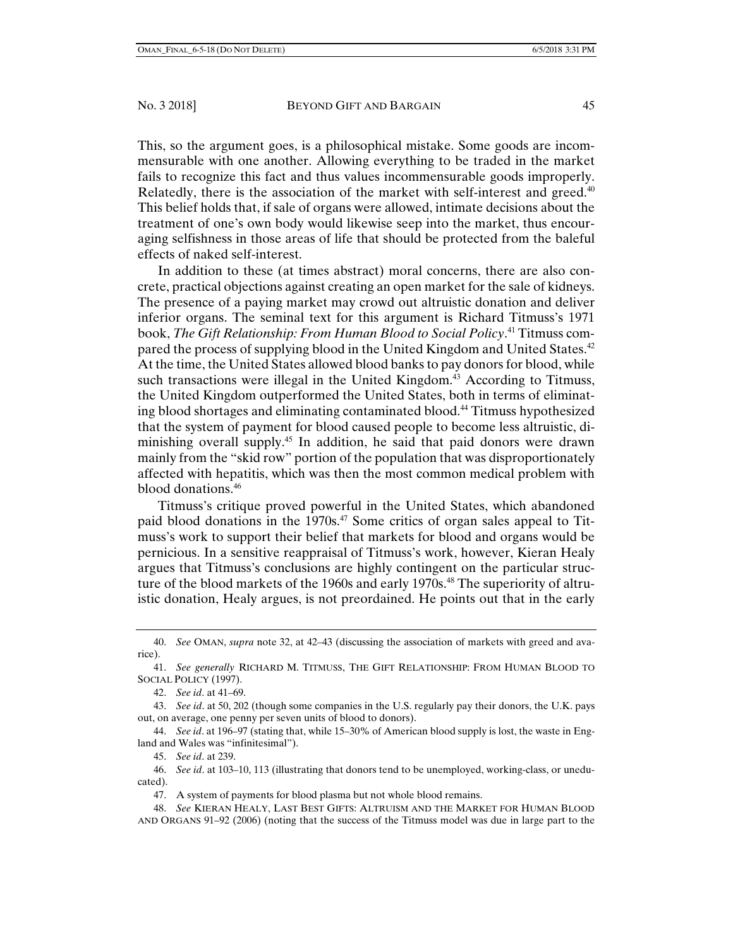This, so the argument goes, is a philosophical mistake. Some goods are incommensurable with one another. Allowing everything to be traded in the market fails to recognize this fact and thus values incommensurable goods improperly. Relatedly, there is the association of the market with self-interest and greed.<sup>40</sup> This belief holds that, if sale of organs were allowed, intimate decisions about the treatment of one's own body would likewise seep into the market, thus encouraging selfishness in those areas of life that should be protected from the baleful effects of naked self-interest.

In addition to these (at times abstract) moral concerns, there are also concrete, practical objections against creating an open market for the sale of kidneys. The presence of a paying market may crowd out altruistic donation and deliver inferior organs. The seminal text for this argument is Richard Titmuss's 1971 book, *The Gift Relationship: From Human Blood to Social Policy*. 41 Titmuss compared the process of supplying blood in the United Kingdom and United States.42 At the time, the United States allowed blood banks to pay donors for blood, while such transactions were illegal in the United Kingdom.<sup>43</sup> According to Titmuss, the United Kingdom outperformed the United States, both in terms of eliminating blood shortages and eliminating contaminated blood.44 Titmuss hypothesized that the system of payment for blood caused people to become less altruistic, diminishing overall supply.<sup>45</sup> In addition, he said that paid donors were drawn mainly from the "skid row" portion of the population that was disproportionately affected with hepatitis, which was then the most common medical problem with blood donations.46

Titmuss's critique proved powerful in the United States, which abandoned paid blood donations in the 1970s.47 Some critics of organ sales appeal to Titmuss's work to support their belief that markets for blood and organs would be pernicious. In a sensitive reappraisal of Titmuss's work, however, Kieran Healy argues that Titmuss's conclusions are highly contingent on the particular structure of the blood markets of the 1960s and early 1970s.<sup>48</sup> The superiority of altruistic donation, Healy argues, is not preordained. He points out that in the early

 46. *See id*. at 103–10, 113 (illustrating that donors tend to be unemployed, working-class, or uneducated).

47. A system of payments for blood plasma but not whole blood remains.

 48. *See* KIERAN HEALY, LAST BEST GIFTS: ALTRUISM AND THE MARKET FOR HUMAN BLOOD AND ORGANS 91–92 (2006) (noting that the success of the Titmuss model was due in large part to the

 <sup>40.</sup> *See* OMAN, *supra* note 32, at 42–43 (discussing the association of markets with greed and avarice).

 <sup>41.</sup> *See generally* RICHARD M. TITMUSS, THE GIFT RELATIONSHIP: FROM HUMAN BLOOD TO SOCIAL POLICY (1997).

 <sup>42.</sup> *See id*. at 41–69.

 <sup>43.</sup> *See id*. at 50, 202 (though some companies in the U.S. regularly pay their donors, the U.K. pays out, on average, one penny per seven units of blood to donors).

 <sup>44.</sup> *See id*. at 196–97 (stating that, while 15–30% of American blood supply is lost, the waste in England and Wales was "infinitesimal").

 <sup>45.</sup> *See id*. at 239.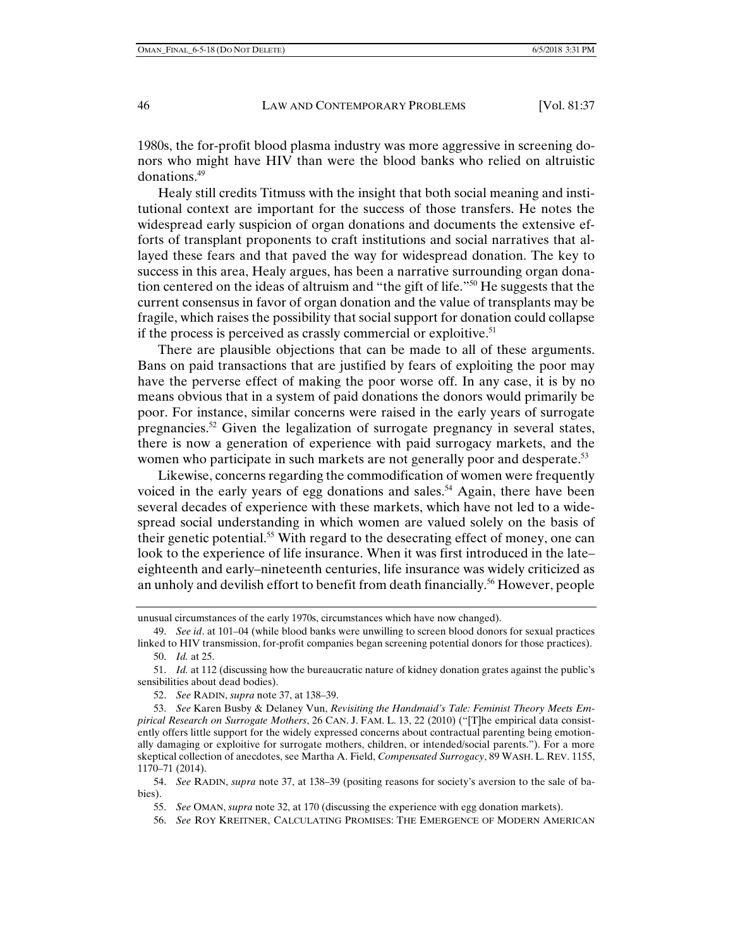1980s, the for-profit blood plasma industry was more aggressive in screening donors who might have HIV than were the blood banks who relied on altruistic donations.49

Healy still credits Titmuss with the insight that both social meaning and institutional context are important for the success of those transfers. He notes the widespread early suspicion of organ donations and documents the extensive efforts of transplant proponents to craft institutions and social narratives that allayed these fears and that paved the way for widespread donation. The key to success in this area, Healy argues, has been a narrative surrounding organ donation centered on the ideas of altruism and "the gift of life."50 He suggests that the current consensus in favor of organ donation and the value of transplants may be fragile, which raises the possibility that social support for donation could collapse if the process is perceived as crassly commercial or exploitive.<sup>51</sup>

There are plausible objections that can be made to all of these arguments. Bans on paid transactions that are justified by fears of exploiting the poor may have the perverse effect of making the poor worse off. In any case, it is by no means obvious that in a system of paid donations the donors would primarily be poor. For instance, similar concerns were raised in the early years of surrogate pregnancies.<sup>52</sup> Given the legalization of surrogate pregnancy in several states, there is now a generation of experience with paid surrogacy markets, and the women who participate in such markets are not generally poor and desperate.<sup>53</sup>

Likewise, concerns regarding the commodification of women were frequently voiced in the early years of egg donations and sales.<sup>54</sup> Again, there have been several decades of experience with these markets, which have not led to a widespread social understanding in which women are valued solely on the basis of their genetic potential.55 With regard to the desecrating effect of money, one can look to the experience of life insurance. When it was first introduced in the late– eighteenth and early–nineteenth centuries, life insurance was widely criticized as an unholy and devilish effort to benefit from death financially.<sup>56</sup> However, people

52. *See* RADIN, *supra* note 37, at 138–39.

- 55. *See* OMAN, *supra* note 32, at 170 (discussing the experience with egg donation markets).
- 56. *See* ROY KREITNER, CALCULATING PROMISES: THE EMERGENCE OF MODERN AMERICAN

unusual circumstances of the early 1970s, circumstances which have now changed).

 <sup>49.</sup> *See id*. at 101–04 (while blood banks were unwilling to screen blood donors for sexual practices linked to HIV transmission, for-profit companies began screening potential donors for those practices). 50. *Id.* at 25.

 <sup>51.</sup> *Id.* at 112 (discussing how the bureaucratic nature of kidney donation grates against the public's sensibilities about dead bodies).

 <sup>53.</sup> *See* Karen Busby & Delaney Vun, *Revisiting the Handmaid's Tale: Feminist Theory Meets Empirical Research on Surrogate Mothers*, 26 CAN. J. FAM. L. 13, 22 (2010) ("[T]he empirical data consistently offers little support for the widely expressed concerns about contractual parenting being emotionally damaging or exploitive for surrogate mothers, children, or intended/social parents."). For a more skeptical collection of anecdotes, see Martha A. Field, *Compensated Surrogacy*, 89 WASH. L. REV. 1155, 1170–71 (2014).

 <sup>54.</sup> *See* RADIN, *supra* note 37, at 138–39 (positing reasons for society's aversion to the sale of babies).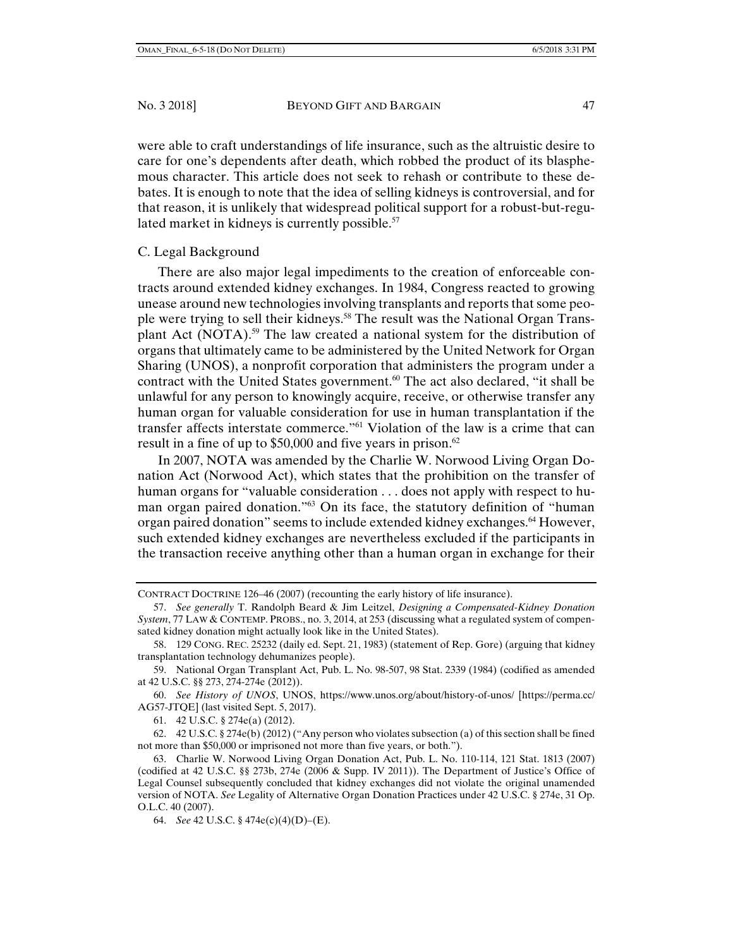were able to craft understandings of life insurance, such as the altruistic desire to care for one's dependents after death, which robbed the product of its blasphemous character. This article does not seek to rehash or contribute to these debates. It is enough to note that the idea of selling kidneys is controversial, and for that reason, it is unlikely that widespread political support for a robust-but-regulated market in kidneys is currently possible. $57$ 

# C. Legal Background

There are also major legal impediments to the creation of enforceable contracts around extended kidney exchanges. In 1984, Congress reacted to growing unease around new technologies involving transplants and reports that some people were trying to sell their kidneys.58 The result was the National Organ Transplant Act (NOTA).<sup>59</sup> The law created a national system for the distribution of organs that ultimately came to be administered by the United Network for Organ Sharing (UNOS), a nonprofit corporation that administers the program under a contract with the United States government.<sup>60</sup> The act also declared, "it shall be unlawful for any person to knowingly acquire, receive, or otherwise transfer any human organ for valuable consideration for use in human transplantation if the transfer affects interstate commerce."61 Violation of the law is a crime that can result in a fine of up to \$50,000 and five years in prison.<sup>62</sup>

In 2007, NOTA was amended by the Charlie W. Norwood Living Organ Donation Act (Norwood Act), which states that the prohibition on the transfer of human organs for "valuable consideration . . . does not apply with respect to human organ paired donation."63 On its face, the statutory definition of "human organ paired donation" seems to include extended kidney exchanges.64 However, such extended kidney exchanges are nevertheless excluded if the participants in the transaction receive anything other than a human organ in exchange for their

 60. *See History of UNOS*, UNOS, https://www.unos.org/about/history-of-unos/ [https://perma.cc/ AG57-JTQE] (last visited Sept. 5, 2017).

61. 42 U.S.C. § 274e(a) (2012).

 62. 42 U.S.C. § 274e(b) (2012) ("Any person who violates subsection (a) of this section shall be fined not more than \$50,000 or imprisoned not more than five years, or both.").

64. *See* 42 U.S.C. § 474e(c)(4)(D)–(E).

CONTRACT DOCTRINE 126–46 (2007) (recounting the early history of life insurance).

 <sup>57.</sup> *See generally* T. Randolph Beard & Jim Leitzel, *Designing a Compensated-Kidney Donation System*, 77 LAW & CONTEMP. PROBS., no. 3, 2014, at 253 (discussing what a regulated system of compensated kidney donation might actually look like in the United States).

 <sup>58. 129</sup> CONG. REC. 25232 (daily ed. Sept. 21, 1983) (statement of Rep. Gore) (arguing that kidney transplantation technology dehumanizes people).

 <sup>59.</sup> National Organ Transplant Act, Pub. L. No. 98-507, 98 Stat. 2339 (1984) (codified as amended at 42 U.S.C. §§ 273, 274-274e (2012)).

 <sup>63.</sup> Charlie W. Norwood Living Organ Donation Act, Pub. L. No. 110-114, 121 Stat. 1813 (2007) (codified at 42 U.S.C. §§ 273b, 274e (2006 & Supp. IV 2011)). The Department of Justice's Office of Legal Counsel subsequently concluded that kidney exchanges did not violate the original unamended version of NOTA. *See* Legality of Alternative Organ Donation Practices under 42 U.S.C. § 274e, 31 Op. O.L.C. 40 (2007).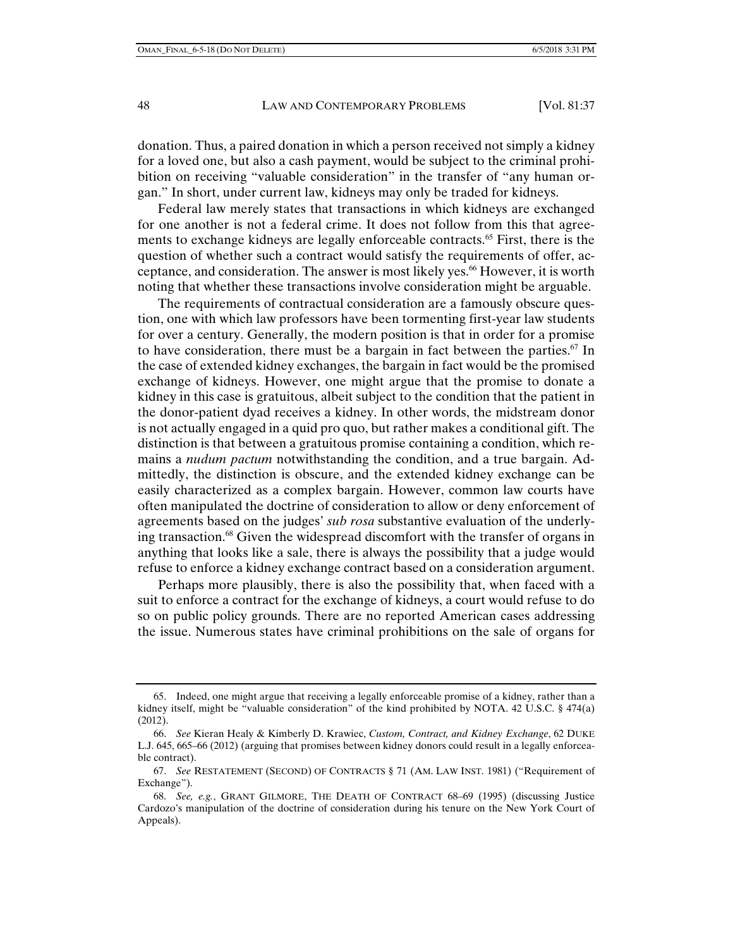donation. Thus, a paired donation in which a person received not simply a kidney for a loved one, but also a cash payment, would be subject to the criminal prohibition on receiving "valuable consideration" in the transfer of "any human organ." In short, under current law, kidneys may only be traded for kidneys.

Federal law merely states that transactions in which kidneys are exchanged for one another is not a federal crime. It does not follow from this that agreements to exchange kidneys are legally enforceable contracts.<sup>65</sup> First, there is the question of whether such a contract would satisfy the requirements of offer, acceptance, and consideration. The answer is most likely yes.<sup>66</sup> However, it is worth noting that whether these transactions involve consideration might be arguable.

The requirements of contractual consideration are a famously obscure question, one with which law professors have been tormenting first-year law students for over a century. Generally, the modern position is that in order for a promise to have consideration, there must be a bargain in fact between the parties.<sup>67</sup> In the case of extended kidney exchanges, the bargain in fact would be the promised exchange of kidneys. However, one might argue that the promise to donate a kidney in this case is gratuitous, albeit subject to the condition that the patient in the donor-patient dyad receives a kidney. In other words, the midstream donor is not actually engaged in a quid pro quo, but rather makes a conditional gift. The distinction is that between a gratuitous promise containing a condition, which remains a *nudum pactum* notwithstanding the condition, and a true bargain. Admittedly, the distinction is obscure, and the extended kidney exchange can be easily characterized as a complex bargain. However, common law courts have often manipulated the doctrine of consideration to allow or deny enforcement of agreements based on the judges' *sub rosa* substantive evaluation of the underlying transaction.<sup>68</sup> Given the widespread discomfort with the transfer of organs in anything that looks like a sale, there is always the possibility that a judge would refuse to enforce a kidney exchange contract based on a consideration argument.

Perhaps more plausibly, there is also the possibility that, when faced with a suit to enforce a contract for the exchange of kidneys, a court would refuse to do so on public policy grounds. There are no reported American cases addressing the issue. Numerous states have criminal prohibitions on the sale of organs for

 <sup>65.</sup> Indeed, one might argue that receiving a legally enforceable promise of a kidney, rather than a kidney itself, might be "valuable consideration" of the kind prohibited by NOTA. 42 U.S.C. § 474(a) (2012).

 <sup>66.</sup> *See* Kieran Healy & Kimberly D. Krawiec, *Custom, Contract, and Kidney Exchange*, 62 DUKE L.J. 645, 665–66 (2012) (arguing that promises between kidney donors could result in a legally enforceable contract).

 <sup>67.</sup> *See* RESTATEMENT (SECOND) OF CONTRACTS § 71 (AM. LAW INST. 1981) ("Requirement of Exchange").

 <sup>68.</sup> *See, e.g.*, GRANT GILMORE, THE DEATH OF CONTRACT 68–69 (1995) (discussing Justice Cardozo's manipulation of the doctrine of consideration during his tenure on the New York Court of Appeals).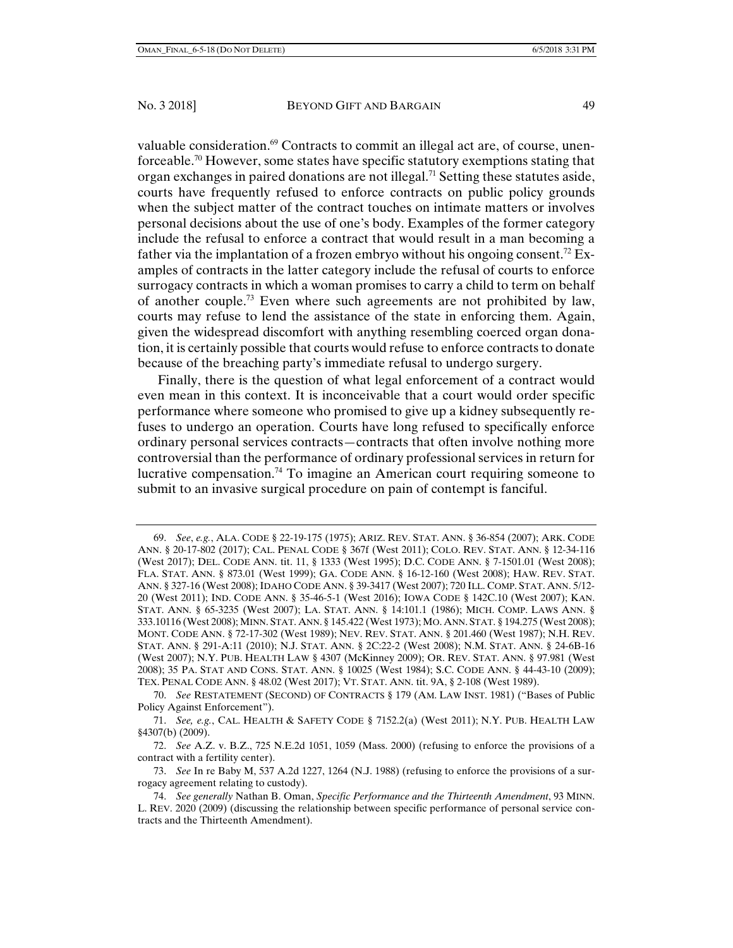valuable consideration.<sup>69</sup> Contracts to commit an illegal act are, of course, unenforceable.70 However, some states have specific statutory exemptions stating that organ exchanges in paired donations are not illegal.<sup>71</sup> Setting these statutes aside, courts have frequently refused to enforce contracts on public policy grounds when the subject matter of the contract touches on intimate matters or involves personal decisions about the use of one's body. Examples of the former category include the refusal to enforce a contract that would result in a man becoming a father via the implantation of a frozen embryo without his ongoing consent.<sup>72</sup> Examples of contracts in the latter category include the refusal of courts to enforce surrogacy contracts in which a woman promises to carry a child to term on behalf of another couple.<sup>73</sup> Even where such agreements are not prohibited by law, courts may refuse to lend the assistance of the state in enforcing them. Again, given the widespread discomfort with anything resembling coerced organ donation, it is certainly possible that courts would refuse to enforce contracts to donate because of the breaching party's immediate refusal to undergo surgery.

Finally, there is the question of what legal enforcement of a contract would even mean in this context. It is inconceivable that a court would order specific performance where someone who promised to give up a kidney subsequently refuses to undergo an operation. Courts have long refused to specifically enforce ordinary personal services contracts—contracts that often involve nothing more controversial than the performance of ordinary professional services in return for lucrative compensation.74 To imagine an American court requiring someone to submit to an invasive surgical procedure on pain of contempt is fanciful.

 <sup>69.</sup> *See*, *e.g.*, ALA. CODE § 22-19-175 (1975); ARIZ. REV. STAT. ANN. § 36-854 (2007); ARK. CODE ANN. § 20-17-802 (2017); CAL. PENAL CODE § 367f (West 2011); COLO. REV. STAT. ANN. § 12-34-116 (West 2017); DEL. CODE ANN. tit. 11, § 1333 (West 1995); D.C. CODE ANN. § 7-1501.01 (West 2008); FLA. STAT. ANN. § 873.01 (West 1999); GA. CODE ANN. § 16-12-160 (West 2008); HAW. REV. STAT. ANN. § 327-16 (West 2008); IDAHO CODE ANN. § 39-3417 (West 2007); 720 ILL. COMP. STAT. ANN. 5/12- 20 (West 2011); IND. CODE ANN. § 35-46-5-1 (West 2016); IOWA CODE § 142C.10 (West 2007); KAN. STAT. ANN. § 65-3235 (West 2007); LA. STAT. ANN. § 14:101.1 (1986); MICH. COMP. LAWS ANN. § 333.10116 (West 2008); MINN. STAT. ANN. § 145.422 (West 1973); MO. ANN. STAT. § 194.275 (West 2008); MONT. CODE ANN. § 72-17-302 (West 1989); NEV. REV. STAT. ANN. § 201.460 (West 1987); N.H. REV. STAT. ANN. § 291-A:11 (2010); N.J. STAT. ANN. § 2C:22-2 (West 2008); N.M. STAT. ANN. § 24-6B-16 (West 2007); N.Y. PUB. HEALTH LAW § 4307 (McKinney 2009); OR. REV. STAT. ANN. § 97.981 (West 2008); 35 PA. STAT AND CONS. STAT. ANN. § 10025 (West 1984); S.C. CODE ANN. § 44-43-10 (2009); TEX. PENAL CODE ANN. § 48.02 (West 2017); VT. STAT. ANN. tit. 9A, § 2-108 (West 1989).

 <sup>70.</sup> *See* RESTATEMENT (SECOND) OF CONTRACTS § 179 (AM. LAW INST. 1981) ("Bases of Public Policy Against Enforcement").

 <sup>71.</sup> *See, e.g.*, CAL. HEALTH & SAFETY CODE § 7152.2(a) (West 2011); N.Y. PUB. HEALTH LAW §4307(b) (2009).

 <sup>72.</sup> *See* A.Z. v. B.Z., 725 N.E.2d 1051, 1059 (Mass. 2000) (refusing to enforce the provisions of a contract with a fertility center).

 <sup>73.</sup> *See* In re Baby M, 537 A.2d 1227, 1264 (N.J. 1988) (refusing to enforce the provisions of a surrogacy agreement relating to custody).

 <sup>74.</sup> *See generally* Nathan B. Oman, *Specific Performance and the Thirteenth Amendment*, 93 MINN. L. REV. 2020 (2009) (discussing the relationship between specific performance of personal service contracts and the Thirteenth Amendment).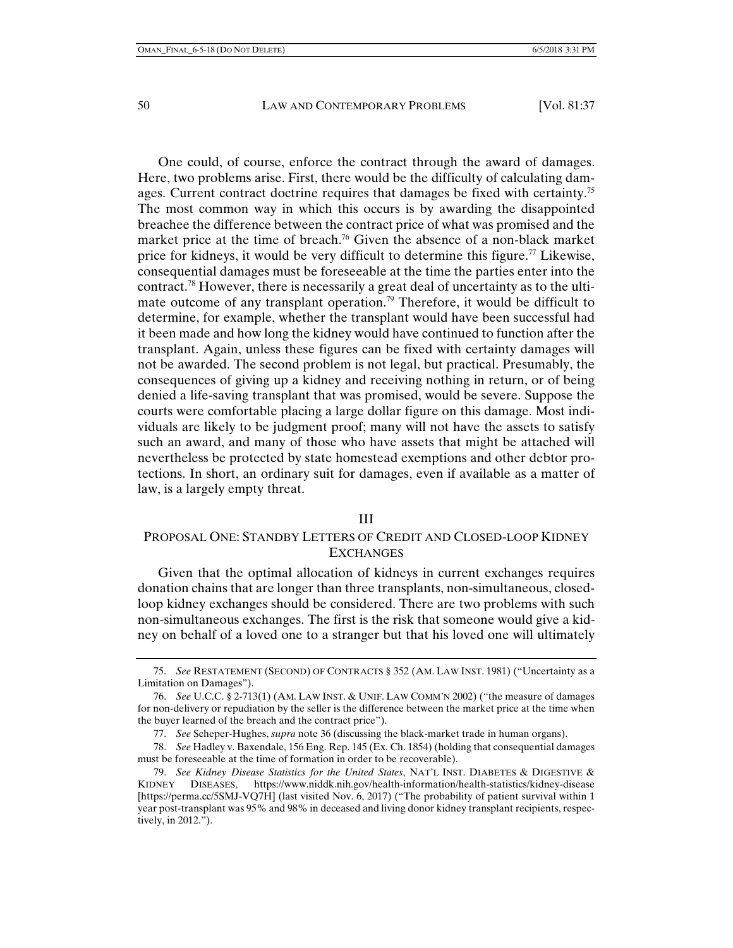One could, of course, enforce the contract through the award of damages. Here, two problems arise. First, there would be the difficulty of calculating damages. Current contract doctrine requires that damages be fixed with certainty.<sup>75</sup> The most common way in which this occurs is by awarding the disappointed breachee the difference between the contract price of what was promised and the market price at the time of breach.<sup>76</sup> Given the absence of a non-black market price for kidneys, it would be very difficult to determine this figure.<sup>77</sup> Likewise, consequential damages must be foreseeable at the time the parties enter into the contract.78 However, there is necessarily a great deal of uncertainty as to the ultimate outcome of any transplant operation.<sup>79</sup> Therefore, it would be difficult to determine, for example, whether the transplant would have been successful had it been made and how long the kidney would have continued to function after the transplant. Again, unless these figures can be fixed with certainty damages will not be awarded. The second problem is not legal, but practical. Presumably, the consequences of giving up a kidney and receiving nothing in return, or of being denied a life-saving transplant that was promised, would be severe. Suppose the courts were comfortable placing a large dollar figure on this damage. Most individuals are likely to be judgment proof; many will not have the assets to satisfy such an award, and many of those who have assets that might be attached will nevertheless be protected by state homestead exemptions and other debtor protections. In short, an ordinary suit for damages, even if available as a matter of law, is a largely empty threat.

#### III

## PROPOSAL ONE: STANDBY LETTERS OF CREDIT AND CLOSED-LOOP KIDNEY **EXCHANGES**

Given that the optimal allocation of kidneys in current exchanges requires donation chains that are longer than three transplants, non-simultaneous, closedloop kidney exchanges should be considered. There are two problems with such non-simultaneous exchanges. The first is the risk that someone would give a kidney on behalf of a loved one to a stranger but that his loved one will ultimately

 <sup>75.</sup> *See* RESTATEMENT (SECOND) OF CONTRACTS § 352 (AM. LAW INST. 1981) ("Uncertainty as a Limitation on Damages").

 <sup>76.</sup> *See* U.C.C. § 2-713(1) (AM. LAW INST. & UNIF. LAW COMM'N 2002) ("the measure of damages for non-delivery or repudiation by the seller is the difference between the market price at the time when the buyer learned of the breach and the contract price").

 <sup>77.</sup> *See* Scheper-Hughes, *supra* note 36 (discussing the black-market trade in human organs).

 <sup>78.</sup> *See* Hadley v. Baxendale, 156 Eng. Rep. 145 (Ex. Ch. 1854) (holding that consequential damages must be foreseeable at the time of formation in order to be recoverable).

 <sup>79.</sup> *See Kidney Disease Statistics for the United States*, NAT'L INST. DIABETES & DIGESTIVE & KIDNEY DISEASES, https://www.niddk.nih.gov/health-information/health-statistics/kidney-disease [https://perma.cc/5SMJ-VQ7H] (last visited Nov. 6, 2017) ("The probability of patient survival within 1 year post-transplant was 95% and 98% in deceased and living donor kidney transplant recipients, respectively, in 2012.").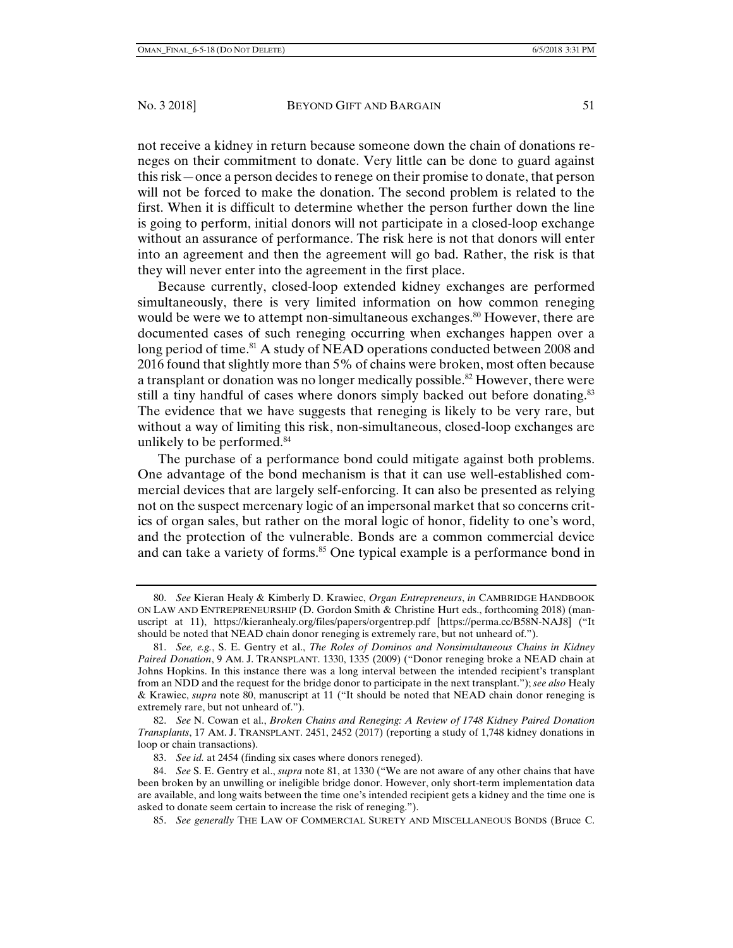not receive a kidney in return because someone down the chain of donations reneges on their commitment to donate. Very little can be done to guard against this risk—once a person decides to renege on their promise to donate, that person will not be forced to make the donation. The second problem is related to the first. When it is difficult to determine whether the person further down the line is going to perform, initial donors will not participate in a closed-loop exchange without an assurance of performance. The risk here is not that donors will enter into an agreement and then the agreement will go bad. Rather, the risk is that they will never enter into the agreement in the first place.

Because currently, closed-loop extended kidney exchanges are performed simultaneously, there is very limited information on how common reneging would be were we to attempt non-simultaneous exchanges.<sup>80</sup> However, there are documented cases of such reneging occurring when exchanges happen over a long period of time.<sup>81</sup> A study of NEAD operations conducted between 2008 and 2016 found that slightly more than 5% of chains were broken, most often because a transplant or donation was no longer medically possible.<sup>82</sup> However, there were still a tiny handful of cases where donors simply backed out before donating.<sup>83</sup> The evidence that we have suggests that reneging is likely to be very rare, but without a way of limiting this risk, non-simultaneous, closed-loop exchanges are unlikely to be performed.<sup>84</sup>

The purchase of a performance bond could mitigate against both problems. One advantage of the bond mechanism is that it can use well-established commercial devices that are largely self-enforcing. It can also be presented as relying not on the suspect mercenary logic of an impersonal market that so concerns critics of organ sales, but rather on the moral logic of honor, fidelity to one's word, and the protection of the vulnerable. Bonds are a common commercial device and can take a variety of forms.<sup>85</sup> One typical example is a performance bond in

85. *See generally* THE LAW OF COMMERCIAL SURETY AND MISCELLANEOUS BONDS (Bruce C.

 <sup>80.</sup> *See* Kieran Healy & Kimberly D. Krawiec, *Organ Entrepreneurs*, *in* CAMBRIDGE HANDBOOK ON LAW AND ENTREPRENEURSHIP (D. Gordon Smith & Christine Hurt eds., forthcoming 2018) (manuscript at 11), https://kieranhealy.org/files/papers/orgentrep.pdf [https://perma.cc/B58N-NAJ8] ("It should be noted that NEAD chain donor reneging is extremely rare, but not unheard of.").

 <sup>81.</sup> *See, e.g.*, S. E. Gentry et al., *The Roles of Dominos and Nonsimultaneous Chains in Kidney Paired Donation*, 9 AM. J. TRANSPLANT. 1330, 1335 (2009) ("Donor reneging broke a NEAD chain at Johns Hopkins. In this instance there was a long interval between the intended recipient's transplant from an NDD and the request for the bridge donor to participate in the next transplant."); *see also* Healy & Krawiec, *supra* note 80, manuscript at 11 ("It should be noted that NEAD chain donor reneging is extremely rare, but not unheard of.").

 <sup>82.</sup> *See* N. Cowan et al., *Broken Chains and Reneging: A Review of 1748 Kidney Paired Donation Transplants*, 17 AM. J. TRANSPLANT. 2451, 2452 (2017) (reporting a study of 1,748 kidney donations in loop or chain transactions).

 <sup>83.</sup> *See id.* at 2454 (finding six cases where donors reneged).

 <sup>84.</sup> *See* S. E. Gentry et al., *supra* note 81, at 1330 ("We are not aware of any other chains that have been broken by an unwilling or ineligible bridge donor. However, only short-term implementation data are available, and long waits between the time one's intended recipient gets a kidney and the time one is asked to donate seem certain to increase the risk of reneging.").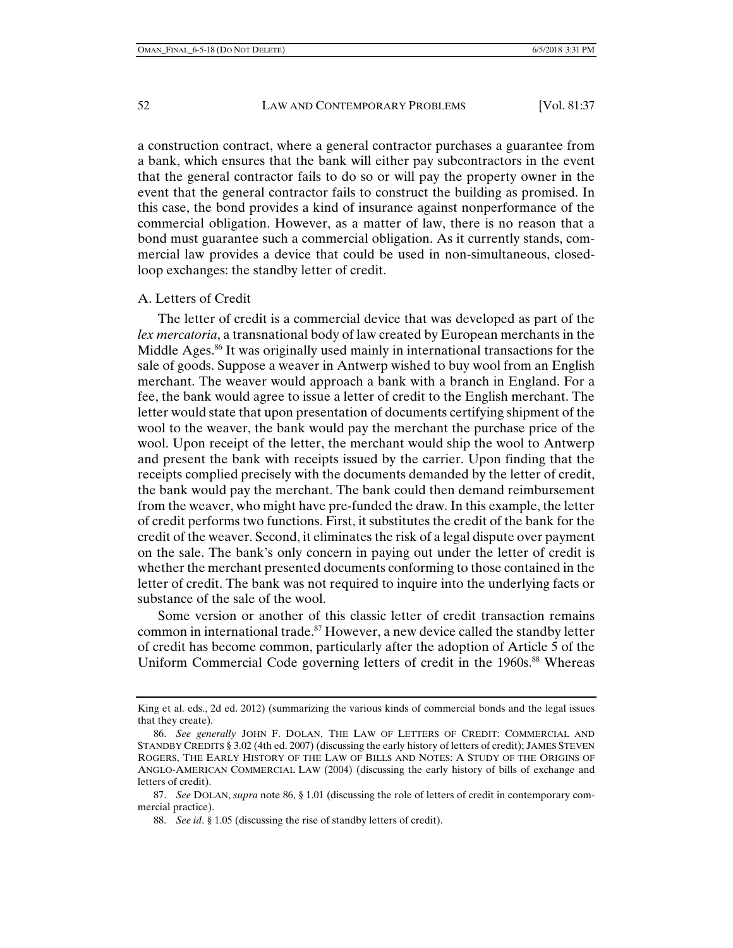a construction contract, where a general contractor purchases a guarantee from a bank, which ensures that the bank will either pay subcontractors in the event that the general contractor fails to do so or will pay the property owner in the event that the general contractor fails to construct the building as promised. In this case, the bond provides a kind of insurance against nonperformance of the commercial obligation. However, as a matter of law, there is no reason that a bond must guarantee such a commercial obligation. As it currently stands, commercial law provides a device that could be used in non-simultaneous, closedloop exchanges: the standby letter of credit.

# A. Letters of Credit

The letter of credit is a commercial device that was developed as part of the *lex mercatoria*, a transnational body of law created by European merchants in the Middle Ages.<sup>86</sup> It was originally used mainly in international transactions for the sale of goods. Suppose a weaver in Antwerp wished to buy wool from an English merchant. The weaver would approach a bank with a branch in England. For a fee, the bank would agree to issue a letter of credit to the English merchant. The letter would state that upon presentation of documents certifying shipment of the wool to the weaver, the bank would pay the merchant the purchase price of the wool. Upon receipt of the letter, the merchant would ship the wool to Antwerp and present the bank with receipts issued by the carrier. Upon finding that the receipts complied precisely with the documents demanded by the letter of credit, the bank would pay the merchant. The bank could then demand reimbursement from the weaver, who might have pre-funded the draw. In this example, the letter of credit performs two functions. First, it substitutes the credit of the bank for the credit of the weaver. Second, it eliminates the risk of a legal dispute over payment on the sale. The bank's only concern in paying out under the letter of credit is whether the merchant presented documents conforming to those contained in the letter of credit. The bank was not required to inquire into the underlying facts or substance of the sale of the wool.

Some version or another of this classic letter of credit transaction remains common in international trade.<sup>87</sup> However, a new device called the standby letter of credit has become common, particularly after the adoption of Article 5 of the Uniform Commercial Code governing letters of credit in the 1960s.<sup>88</sup> Whereas

King et al. eds., 2d ed. 2012) (summarizing the various kinds of commercial bonds and the legal issues that they create).

 <sup>86.</sup> *See generally* JOHN F. DOLAN, THE LAW OF LETTERS OF CREDIT: COMMERCIAL AND STANDBY CREDITS § 3.02 (4th ed. 2007) (discussing the early history of letters of credit); JAMES STEVEN ROGERS, THE EARLY HISTORY OF THE LAW OF BILLS AND NOTES: A STUDY OF THE ORIGINS OF ANGLO-AMERICAN COMMERCIAL LAW (2004) (discussing the early history of bills of exchange and letters of credit).

 <sup>87.</sup> *See* DOLAN, *supra* note 86, § 1.01 (discussing the role of letters of credit in contemporary commercial practice).

 <sup>88.</sup> *See id*. § 1.05 (discussing the rise of standby letters of credit).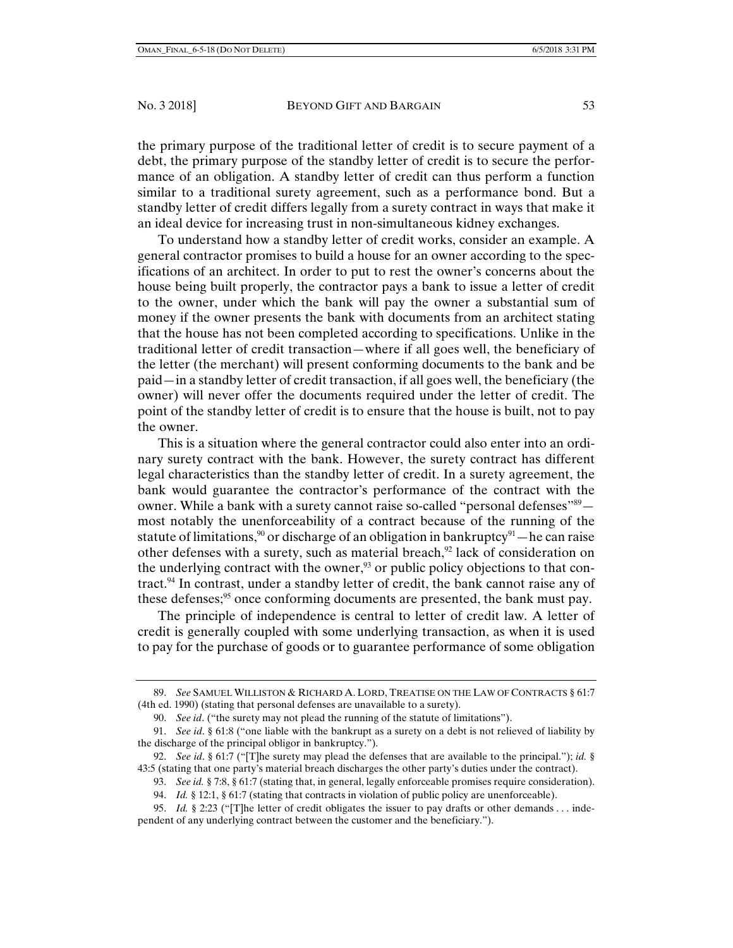the primary purpose of the traditional letter of credit is to secure payment of a debt, the primary purpose of the standby letter of credit is to secure the performance of an obligation. A standby letter of credit can thus perform a function similar to a traditional surety agreement, such as a performance bond. But a standby letter of credit differs legally from a surety contract in ways that make it an ideal device for increasing trust in non-simultaneous kidney exchanges.

To understand how a standby letter of credit works, consider an example. A general contractor promises to build a house for an owner according to the specifications of an architect. In order to put to rest the owner's concerns about the house being built properly, the contractor pays a bank to issue a letter of credit to the owner, under which the bank will pay the owner a substantial sum of money if the owner presents the bank with documents from an architect stating that the house has not been completed according to specifications. Unlike in the traditional letter of credit transaction—where if all goes well, the beneficiary of the letter (the merchant) will present conforming documents to the bank and be paid—in a standby letter of credit transaction, if all goes well, the beneficiary (the owner) will never offer the documents required under the letter of credit. The point of the standby letter of credit is to ensure that the house is built, not to pay the owner.

This is a situation where the general contractor could also enter into an ordinary surety contract with the bank. However, the surety contract has different legal characteristics than the standby letter of credit. In a surety agreement, the bank would guarantee the contractor's performance of the contract with the owner. While a bank with a surety cannot raise so-called "personal defenses"<sup>89</sup> most notably the unenforceability of a contract because of the running of the statute of limitations,<sup>90</sup> or discharge of an obligation in bankruptcy<sup>91</sup>—he can raise other defenses with a surety, such as material breach, $92$  lack of consideration on the underlying contract with the owner,<sup>93</sup> or public policy objections to that contract.<sup>94</sup> In contrast, under a standby letter of credit, the bank cannot raise any of these defenses;<sup>95</sup> once conforming documents are presented, the bank must pay.

The principle of independence is central to letter of credit law. A letter of credit is generally coupled with some underlying transaction, as when it is used to pay for the purchase of goods or to guarantee performance of some obligation

 <sup>89.</sup> *See* SAMUEL WILLISTON & RICHARD A. LORD, TREATISE ON THE LAW OF CONTRACTS § 61:7 (4th ed. 1990) (stating that personal defenses are unavailable to a surety).

 <sup>90.</sup> *See id*. ("the surety may not plead the running of the statute of limitations").

 <sup>91.</sup> *See id*. § 61:8 ("one liable with the bankrupt as a surety on a debt is not relieved of liability by the discharge of the principal obligor in bankruptcy.").

 <sup>92.</sup> *See id*. § 61:7 ("[T]he surety may plead the defenses that are available to the principal."); *id.* § 43:5 (stating that one party's material breach discharges the other party's duties under the contract).

 <sup>93.</sup> *See id.* § 7:8, § 61:7 (stating that, in general, legally enforceable promises require consideration).

 <sup>94.</sup> *Id.* § 12:1, § 61:7 (stating that contracts in violation of public policy are unenforceable).

 <sup>95.</sup> *Id.* § 2:23 ("[T]he letter of credit obligates the issuer to pay drafts or other demands . . . independent of any underlying contract between the customer and the beneficiary.").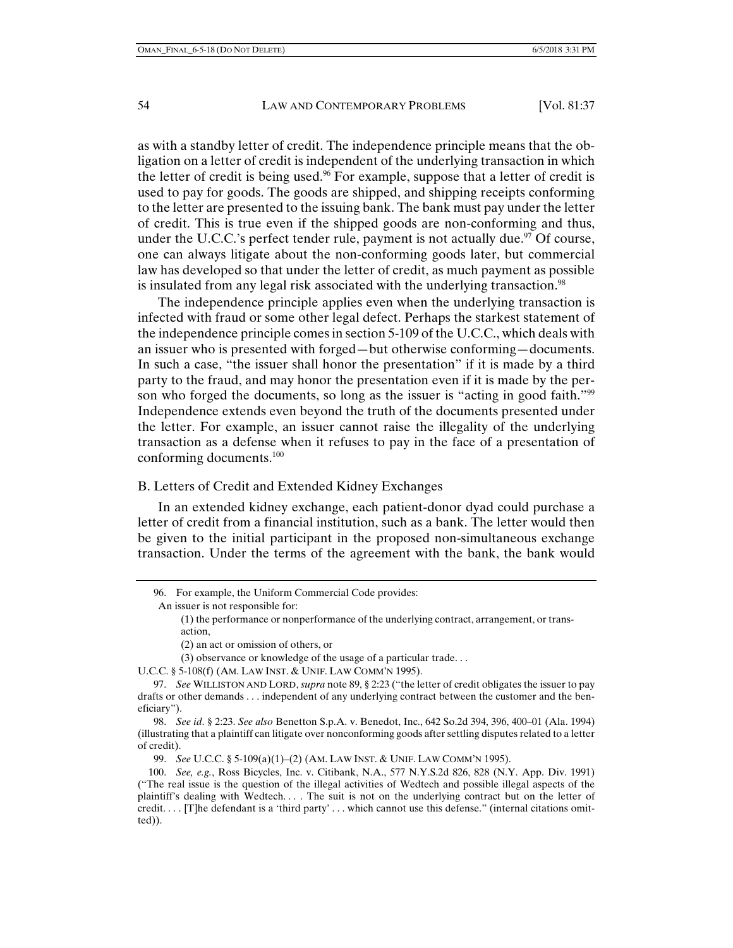as with a standby letter of credit. The independence principle means that the obligation on a letter of credit is independent of the underlying transaction in which the letter of credit is being used.<sup>96</sup> For example, suppose that a letter of credit is used to pay for goods. The goods are shipped, and shipping receipts conforming to the letter are presented to the issuing bank. The bank must pay under the letter of credit. This is true even if the shipped goods are non-conforming and thus, under the U.C.C.'s perfect tender rule, payment is not actually due.<sup>97</sup> Of course, one can always litigate about the non-conforming goods later, but commercial law has developed so that under the letter of credit, as much payment as possible is insulated from any legal risk associated with the underlying transaction.<sup>98</sup>

The independence principle applies even when the underlying transaction is infected with fraud or some other legal defect. Perhaps the starkest statement of the independence principle comes in section 5-109 of the U.C.C., which deals with an issuer who is presented with forged—but otherwise conforming—documents. In such a case, "the issuer shall honor the presentation" if it is made by a third party to the fraud, and may honor the presentation even if it is made by the person who forged the documents, so long as the issuer is "acting in good faith."<sup>99</sup> Independence extends even beyond the truth of the documents presented under the letter. For example, an issuer cannot raise the illegality of the underlying transaction as a defense when it refuses to pay in the face of a presentation of conforming documents.100

#### B. Letters of Credit and Extended Kidney Exchanges

In an extended kidney exchange, each patient-donor dyad could purchase a letter of credit from a financial institution, such as a bank. The letter would then be given to the initial participant in the proposed non-simultaneous exchange transaction. Under the terms of the agreement with the bank, the bank would

(2) an act or omission of others, or

U.C.C. § 5-108(f) (AM. LAW INST. & UNIF. LAW COMM'N 1995).

99. *See* U.C.C. § 5-109(a)(1)–(2) (AM. LAW INST. & UNIF. LAW COMM'N 1995).

 <sup>96.</sup> For example, the Uniform Commercial Code provides:

An issuer is not responsible for:

<sup>(1)</sup> the performance or nonperformance of the underlying contract, arrangement, or transaction,

<sup>(3)</sup> observance or knowledge of the usage of a particular trade. . .

 <sup>97.</sup> *See* WILLISTON AND LORD, *supra* note 89, § 2:23 ("the letter of credit obligates the issuer to pay drafts or other demands . . . independent of any underlying contract between the customer and the beneficiary").

 <sup>98.</sup> *See id*. § 2:23. *See also* Benetton S.p.A. v. Benedot, Inc., 642 So.2d 394, 396, 400–01 (Ala. 1994) (illustrating that a plaintiff can litigate over nonconforming goods after settling disputes related to a letter of credit).

 <sup>100.</sup> *See, e.g.*, Ross Bicycles, Inc. v. Citibank, N.A., 577 N.Y.S.2d 826, 828 (N.Y. App. Div. 1991) ("The real issue is the question of the illegal activities of Wedtech and possible illegal aspects of the plaintiff's dealing with Wedtech. . . . The suit is not on the underlying contract but on the letter of credit. . . . [T]he defendant is a 'third party' . . . which cannot use this defense." (internal citations omitted)).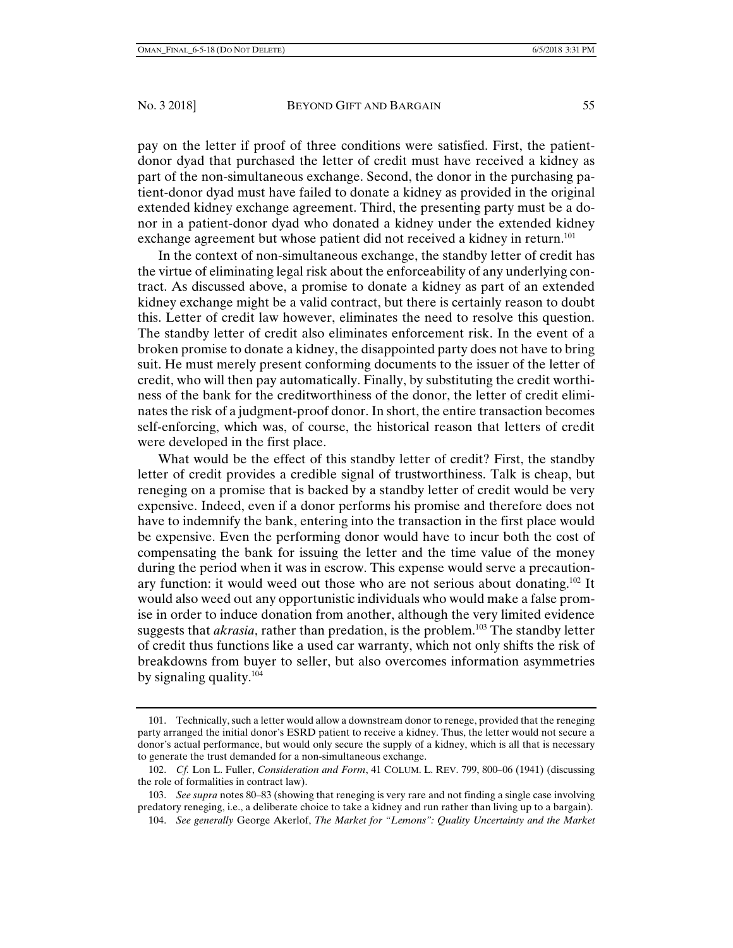pay on the letter if proof of three conditions were satisfied. First, the patientdonor dyad that purchased the letter of credit must have received a kidney as part of the non-simultaneous exchange. Second, the donor in the purchasing patient-donor dyad must have failed to donate a kidney as provided in the original extended kidney exchange agreement. Third, the presenting party must be a donor in a patient-donor dyad who donated a kidney under the extended kidney exchange agreement but whose patient did not received a kidney in return.<sup>101</sup>

In the context of non-simultaneous exchange, the standby letter of credit has the virtue of eliminating legal risk about the enforceability of any underlying contract. As discussed above, a promise to donate a kidney as part of an extended kidney exchange might be a valid contract, but there is certainly reason to doubt this. Letter of credit law however, eliminates the need to resolve this question. The standby letter of credit also eliminates enforcement risk. In the event of a broken promise to donate a kidney, the disappointed party does not have to bring suit. He must merely present conforming documents to the issuer of the letter of credit, who will then pay automatically. Finally, by substituting the credit worthiness of the bank for the creditworthiness of the donor, the letter of credit eliminates the risk of a judgment-proof donor. In short, the entire transaction becomes self-enforcing, which was, of course, the historical reason that letters of credit were developed in the first place.

What would be the effect of this standby letter of credit? First, the standby letter of credit provides a credible signal of trustworthiness. Talk is cheap, but reneging on a promise that is backed by a standby letter of credit would be very expensive. Indeed, even if a donor performs his promise and therefore does not have to indemnify the bank, entering into the transaction in the first place would be expensive. Even the performing donor would have to incur both the cost of compensating the bank for issuing the letter and the time value of the money during the period when it was in escrow. This expense would serve a precautionary function: it would weed out those who are not serious about donating.<sup>102</sup> It would also weed out any opportunistic individuals who would make a false promise in order to induce donation from another, although the very limited evidence suggests that *akrasia*, rather than predation, is the problem.103 The standby letter of credit thus functions like a used car warranty, which not only shifts the risk of breakdowns from buyer to seller, but also overcomes information asymmetries by signaling quality. $104$ 

 <sup>101.</sup> Technically, such a letter would allow a downstream donor to renege, provided that the reneging party arranged the initial donor's ESRD patient to receive a kidney. Thus, the letter would not secure a donor's actual performance, but would only secure the supply of a kidney, which is all that is necessary to generate the trust demanded for a non-simultaneous exchange.

 <sup>102.</sup> *Cf.* Lon L. Fuller, *Consideration and Form*, 41 COLUM. L. REV. 799, 800–06 (1941) (discussing the role of formalities in contract law).

 <sup>103.</sup> *See supra* notes 80–83 (showing that reneging is very rare and not finding a single case involving predatory reneging, i.e., a deliberate choice to take a kidney and run rather than living up to a bargain).

 <sup>104.</sup> *See generally* George Akerlof, *The Market for "Lemons": Quality Uncertainty and the Market*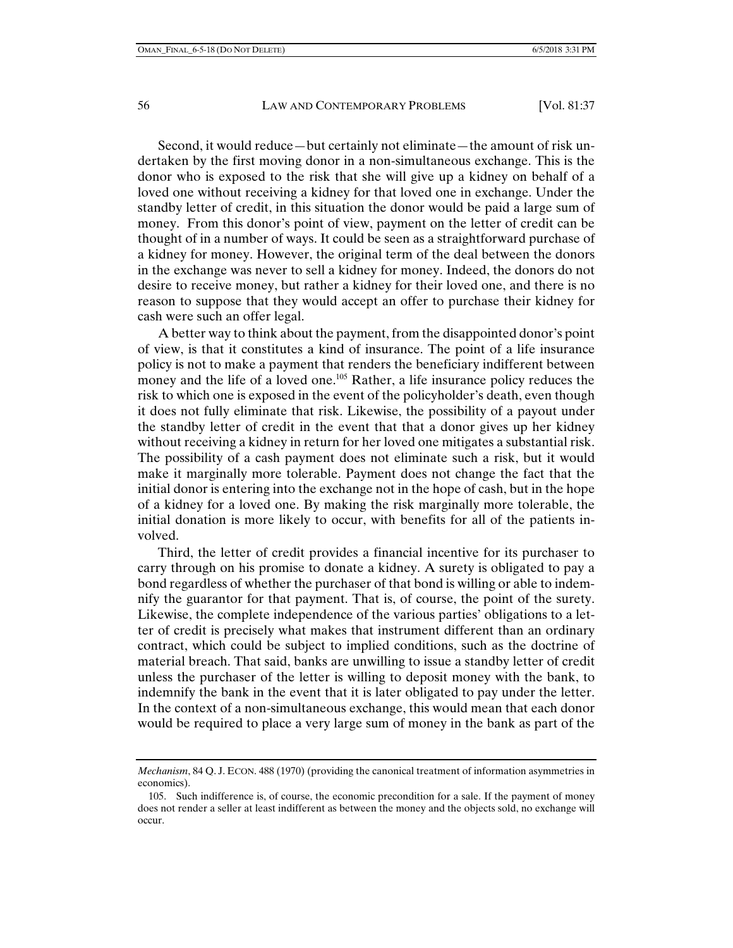Second, it would reduce—but certainly not eliminate—the amount of risk undertaken by the first moving donor in a non-simultaneous exchange. This is the donor who is exposed to the risk that she will give up a kidney on behalf of a loved one without receiving a kidney for that loved one in exchange. Under the standby letter of credit, in this situation the donor would be paid a large sum of money. From this donor's point of view, payment on the letter of credit can be thought of in a number of ways. It could be seen as a straightforward purchase of a kidney for money. However, the original term of the deal between the donors in the exchange was never to sell a kidney for money. Indeed, the donors do not desire to receive money, but rather a kidney for their loved one, and there is no reason to suppose that they would accept an offer to purchase their kidney for cash were such an offer legal.

A better way to think about the payment, from the disappointed donor's point of view, is that it constitutes a kind of insurance. The point of a life insurance policy is not to make a payment that renders the beneficiary indifferent between money and the life of a loved one.<sup>105</sup> Rather, a life insurance policy reduces the risk to which one is exposed in the event of the policyholder's death, even though it does not fully eliminate that risk. Likewise, the possibility of a payout under the standby letter of credit in the event that that a donor gives up her kidney without receiving a kidney in return for her loved one mitigates a substantial risk. The possibility of a cash payment does not eliminate such a risk, but it would make it marginally more tolerable. Payment does not change the fact that the initial donor is entering into the exchange not in the hope of cash, but in the hope of a kidney for a loved one. By making the risk marginally more tolerable, the initial donation is more likely to occur, with benefits for all of the patients involved.

Third, the letter of credit provides a financial incentive for its purchaser to carry through on his promise to donate a kidney. A surety is obligated to pay a bond regardless of whether the purchaser of that bond is willing or able to indemnify the guarantor for that payment. That is, of course, the point of the surety. Likewise, the complete independence of the various parties' obligations to a letter of credit is precisely what makes that instrument different than an ordinary contract, which could be subject to implied conditions, such as the doctrine of material breach. That said, banks are unwilling to issue a standby letter of credit unless the purchaser of the letter is willing to deposit money with the bank, to indemnify the bank in the event that it is later obligated to pay under the letter. In the context of a non-simultaneous exchange, this would mean that each donor would be required to place a very large sum of money in the bank as part of the

*Mechanism*, 84 Q. J. ECON. 488 (1970) (providing the canonical treatment of information asymmetries in economics).

 <sup>105.</sup> Such indifference is, of course, the economic precondition for a sale. If the payment of money does not render a seller at least indifferent as between the money and the objects sold, no exchange will occur.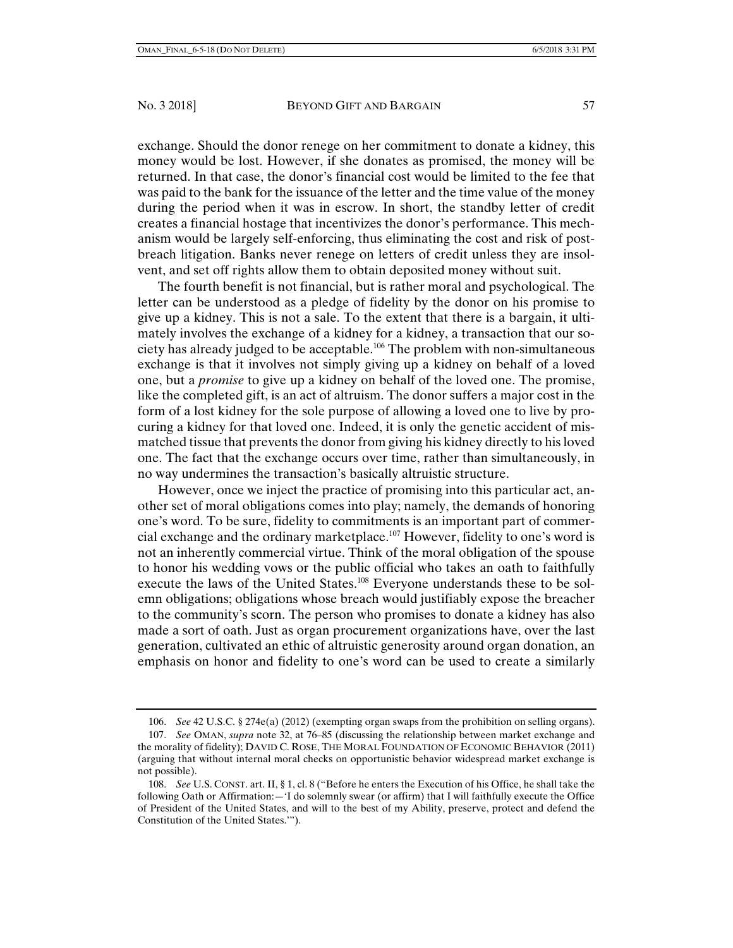exchange. Should the donor renege on her commitment to donate a kidney, this money would be lost. However, if she donates as promised, the money will be returned. In that case, the donor's financial cost would be limited to the fee that was paid to the bank for the issuance of the letter and the time value of the money during the period when it was in escrow. In short, the standby letter of credit creates a financial hostage that incentivizes the donor's performance. This mechanism would be largely self-enforcing, thus eliminating the cost and risk of postbreach litigation. Banks never renege on letters of credit unless they are insolvent, and set off rights allow them to obtain deposited money without suit.

The fourth benefit is not financial, but is rather moral and psychological. The letter can be understood as a pledge of fidelity by the donor on his promise to give up a kidney. This is not a sale. To the extent that there is a bargain, it ultimately involves the exchange of a kidney for a kidney, a transaction that our society has already judged to be acceptable.106 The problem with non-simultaneous exchange is that it involves not simply giving up a kidney on behalf of a loved one, but a *promise* to give up a kidney on behalf of the loved one. The promise, like the completed gift, is an act of altruism. The donor suffers a major cost in the form of a lost kidney for the sole purpose of allowing a loved one to live by procuring a kidney for that loved one. Indeed, it is only the genetic accident of mismatched tissue that prevents the donor from giving his kidney directly to his loved one. The fact that the exchange occurs over time, rather than simultaneously, in no way undermines the transaction's basically altruistic structure.

However, once we inject the practice of promising into this particular act, another set of moral obligations comes into play; namely, the demands of honoring one's word. To be sure, fidelity to commitments is an important part of commercial exchange and the ordinary marketplace.107 However, fidelity to one's word is not an inherently commercial virtue. Think of the moral obligation of the spouse to honor his wedding vows or the public official who takes an oath to faithfully execute the laws of the United States.<sup>108</sup> Everyone understands these to be solemn obligations; obligations whose breach would justifiably expose the breacher to the community's scorn. The person who promises to donate a kidney has also made a sort of oath. Just as organ procurement organizations have, over the last generation, cultivated an ethic of altruistic generosity around organ donation, an emphasis on honor and fidelity to one's word can be used to create a similarly

 <sup>106.</sup> *See* 42 U.S.C. § 274e(a) (2012) (exempting organ swaps from the prohibition on selling organs).

 <sup>107.</sup> *See* OMAN, *supra* note 32, at 76–85 (discussing the relationship between market exchange and the morality of fidelity); DAVID C. ROSE, THE MORAL FOUNDATION OF ECONOMIC BEHAVIOR (2011) (arguing that without internal moral checks on opportunistic behavior widespread market exchange is not possible).

 <sup>108.</sup> *See* U.S. CONST. art. II, § 1, cl. 8 ("Before he enters the Execution of his Office, he shall take the following Oath or Affirmation:—'I do solemnly swear (or affirm) that I will faithfully execute the Office of President of the United States, and will to the best of my Ability, preserve, protect and defend the Constitution of the United States.'").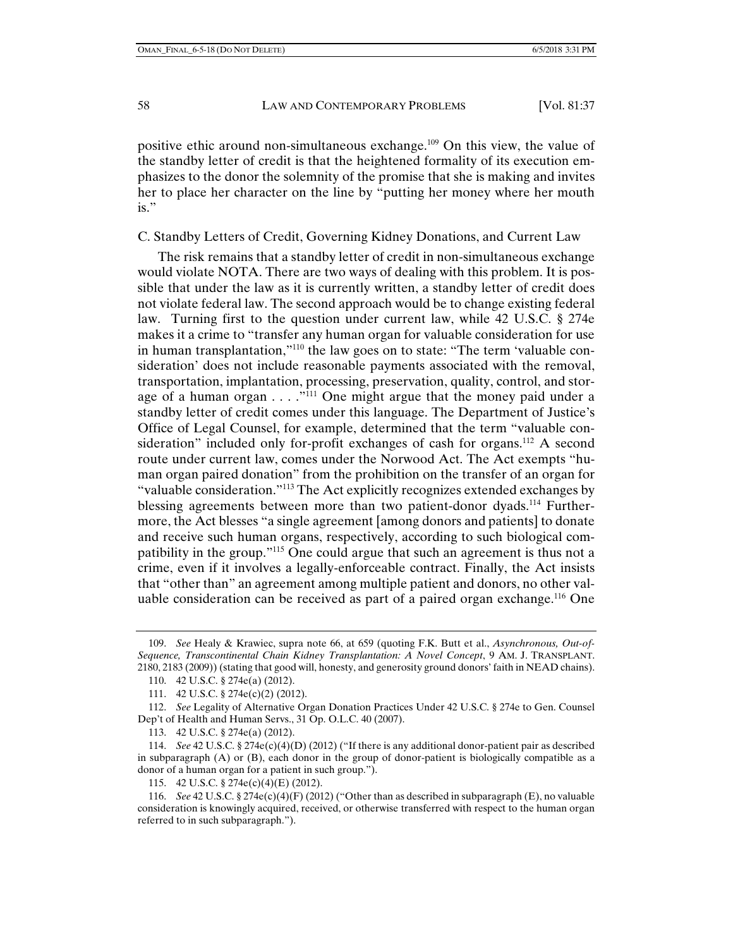positive ethic around non-simultaneous exchange.<sup>109</sup> On this view, the value of the standby letter of credit is that the heightened formality of its execution emphasizes to the donor the solemnity of the promise that she is making and invites her to place her character on the line by "putting her money where her mouth is."

# C. Standby Letters of Credit, Governing Kidney Donations, and Current Law

The risk remains that a standby letter of credit in non-simultaneous exchange would violate NOTA. There are two ways of dealing with this problem. It is possible that under the law as it is currently written, a standby letter of credit does not violate federal law. The second approach would be to change existing federal law. Turning first to the question under current law, while 42 U.S.C. § 274e makes it a crime to "transfer any human organ for valuable consideration for use in human transplantation,"<sup>110</sup> the law goes on to state: "The term 'valuable consideration' does not include reasonable payments associated with the removal, transportation, implantation, processing, preservation, quality, control, and storage of a human organ  $\dots$ ."<sup>111</sup> One might argue that the money paid under a standby letter of credit comes under this language. The Department of Justice's Office of Legal Counsel, for example, determined that the term "valuable consideration" included only for-profit exchanges of cash for organs.<sup>112</sup> A second route under current law, comes under the Norwood Act. The Act exempts "human organ paired donation" from the prohibition on the transfer of an organ for "valuable consideration."113 The Act explicitly recognizes extended exchanges by blessing agreements between more than two patient-donor dyads.114 Furthermore, the Act blesses "a single agreement [among donors and patients] to donate and receive such human organs, respectively, according to such biological compatibility in the group."115 One could argue that such an agreement is thus not a crime, even if it involves a legally-enforceable contract. Finally, the Act insists that "other than" an agreement among multiple patient and donors, no other valuable consideration can be received as part of a paired organ exchange.<sup>116</sup> One

 <sup>109.</sup> *See* Healy & Krawiec, supra note 66, at 659 (quoting F.K. Butt et al., *Asynchronous, Out-of-Sequence, Transcontinental Chain Kidney Transplantation: A Novel Concept*, 9 AM. J. TRANSPLANT. 2180, 2183 (2009)) (stating that good will, honesty, and generosity ground donors' faith in NEAD chains).

 <sup>110. 42</sup> U.S.C. § 274e(a) (2012).

 <sup>111. 42</sup> U.S.C. § 274e(c)(2) (2012).

 <sup>112.</sup> *See* Legality of Alternative Organ Donation Practices Under 42 U.S.C. § 274e to Gen. Counsel Dep't of Health and Human Servs., 31 Op. O.L.C. 40 (2007).

 <sup>113. 42</sup> U.S.C. § 274e(a) (2012).

 <sup>114.</sup> *See* 42 U.S.C. § 274e(c)(4)(D) (2012) ("If there is any additional donor-patient pair as described in subparagraph (A) or (B), each donor in the group of donor-patient is biologically compatible as a donor of a human organ for a patient in such group.").

 <sup>115. 42</sup> U.S.C. § 274e(c)(4)(E) (2012).

 <sup>116.</sup> *See* 42 U.S.C. § 274e(c)(4)(F) (2012) ("Other than as described in subparagraph (E), no valuable consideration is knowingly acquired, received, or otherwise transferred with respect to the human organ referred to in such subparagraph.").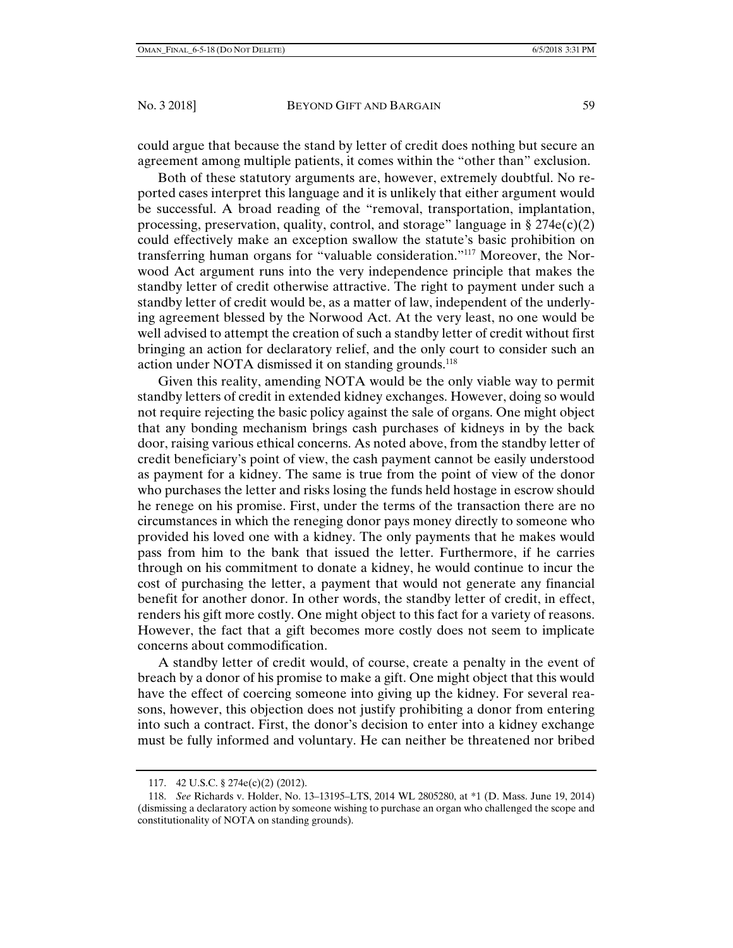could argue that because the stand by letter of credit does nothing but secure an agreement among multiple patients, it comes within the "other than" exclusion.

Both of these statutory arguments are, however, extremely doubtful. No reported cases interpret this language and it is unlikely that either argument would be successful. A broad reading of the "removal, transportation, implantation, processing, preservation, quality, control, and storage" language in § 274 $e(c)(2)$ could effectively make an exception swallow the statute's basic prohibition on transferring human organs for "valuable consideration."117 Moreover, the Norwood Act argument runs into the very independence principle that makes the standby letter of credit otherwise attractive. The right to payment under such a standby letter of credit would be, as a matter of law, independent of the underlying agreement blessed by the Norwood Act. At the very least, no one would be well advised to attempt the creation of such a standby letter of credit without first bringing an action for declaratory relief, and the only court to consider such an action under NOTA dismissed it on standing grounds.<sup>118</sup>

Given this reality, amending NOTA would be the only viable way to permit standby letters of credit in extended kidney exchanges. However, doing so would not require rejecting the basic policy against the sale of organs. One might object that any bonding mechanism brings cash purchases of kidneys in by the back door, raising various ethical concerns. As noted above, from the standby letter of credit beneficiary's point of view, the cash payment cannot be easily understood as payment for a kidney. The same is true from the point of view of the donor who purchases the letter and risks losing the funds held hostage in escrow should he renege on his promise. First, under the terms of the transaction there are no circumstances in which the reneging donor pays money directly to someone who provided his loved one with a kidney. The only payments that he makes would pass from him to the bank that issued the letter. Furthermore, if he carries through on his commitment to donate a kidney, he would continue to incur the cost of purchasing the letter, a payment that would not generate any financial benefit for another donor. In other words, the standby letter of credit, in effect, renders his gift more costly. One might object to this fact for a variety of reasons. However, the fact that a gift becomes more costly does not seem to implicate concerns about commodification.

A standby letter of credit would, of course, create a penalty in the event of breach by a donor of his promise to make a gift. One might object that this would have the effect of coercing someone into giving up the kidney. For several reasons, however, this objection does not justify prohibiting a donor from entering into such a contract. First, the donor's decision to enter into a kidney exchange must be fully informed and voluntary. He can neither be threatened nor bribed

 <sup>117. 42</sup> U.S.C. § 274e(c)(2) (2012).

 <sup>118.</sup> *See* Richards v. Holder, No. 13–13195–LTS, 2014 WL 2805280, at \*1 (D. Mass. June 19, 2014) (dismissing a declaratory action by someone wishing to purchase an organ who challenged the scope and constitutionality of NOTA on standing grounds).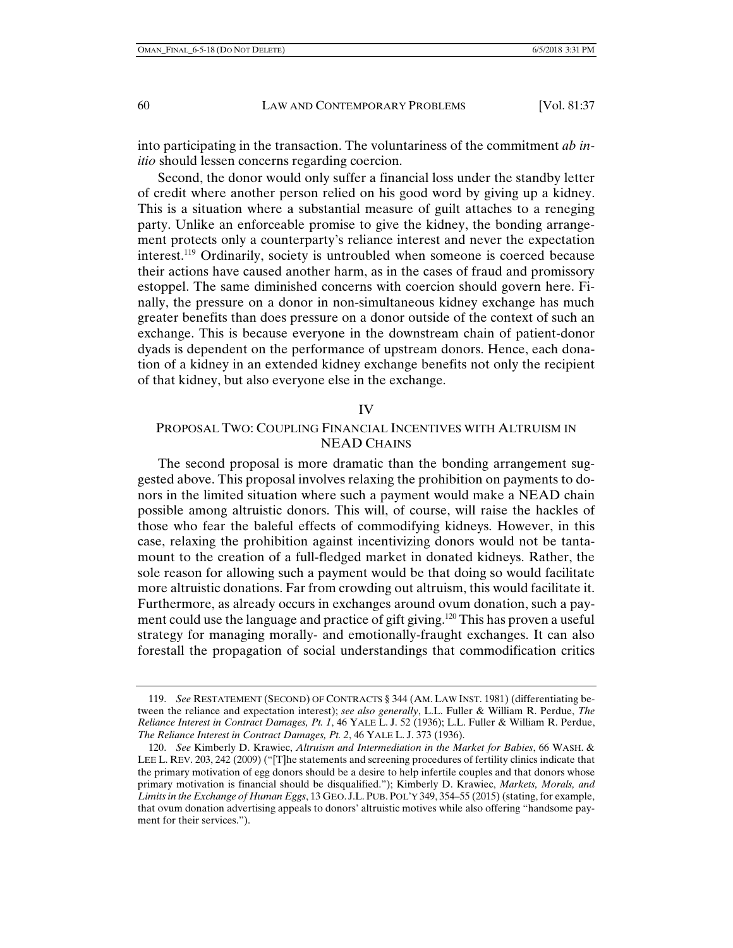into participating in the transaction. The voluntariness of the commitment *ab initio* should lessen concerns regarding coercion.

Second, the donor would only suffer a financial loss under the standby letter of credit where another person relied on his good word by giving up a kidney. This is a situation where a substantial measure of guilt attaches to a reneging party. Unlike an enforceable promise to give the kidney, the bonding arrangement protects only a counterparty's reliance interest and never the expectation interest.119 Ordinarily, society is untroubled when someone is coerced because their actions have caused another harm, as in the cases of fraud and promissory estoppel. The same diminished concerns with coercion should govern here. Finally, the pressure on a donor in non-simultaneous kidney exchange has much greater benefits than does pressure on a donor outside of the context of such an exchange. This is because everyone in the downstream chain of patient-donor dyads is dependent on the performance of upstream donors. Hence, each donation of a kidney in an extended kidney exchange benefits not only the recipient of that kidney, but also everyone else in the exchange.

#### IV

# PROPOSAL TWO: COUPLING FINANCIAL INCENTIVES WITH ALTRUISM IN NEAD CHAINS

The second proposal is more dramatic than the bonding arrangement suggested above. This proposal involves relaxing the prohibition on payments to donors in the limited situation where such a payment would make a NEAD chain possible among altruistic donors. This will, of course, will raise the hackles of those who fear the baleful effects of commodifying kidneys. However, in this case, relaxing the prohibition against incentivizing donors would not be tantamount to the creation of a full-fledged market in donated kidneys. Rather, the sole reason for allowing such a payment would be that doing so would facilitate more altruistic donations. Far from crowding out altruism, this would facilitate it. Furthermore, as already occurs in exchanges around ovum donation, such a payment could use the language and practice of gift giving.120 This has proven a useful strategy for managing morally- and emotionally-fraught exchanges. It can also forestall the propagation of social understandings that commodification critics

 <sup>119.</sup> *See* RESTATEMENT (SECOND) OF CONTRACTS § 344 (AM. LAW INST. 1981) (differentiating between the reliance and expectation interest); *see also generally*, L.L. Fuller & William R. Perdue, *The Reliance Interest in Contract Damages, Pt. 1*, 46 YALE L. J. 52 (1936); L.L. Fuller & William R. Perdue, *The Reliance Interest in Contract Damages, Pt. 2*, 46 YALE L. J. 373 (1936).

 <sup>120.</sup> *See* Kimberly D. Krawiec, *Altruism and Intermediation in the Market for Babies*, 66 WASH. & LEE L. REV. 203, 242 (2009) ("[T]he statements and screening procedures of fertility clinics indicate that the primary motivation of egg donors should be a desire to help infertile couples and that donors whose primary motivation is financial should be disqualified."); Kimberly D. Krawiec, *Markets, Morals, and Limits in the Exchange of Human Eggs*, 13 GEO. J.L. PUB. POL'Y 349, 354–55 (2015) (stating, for example, that ovum donation advertising appeals to donors' altruistic motives while also offering "handsome payment for their services.").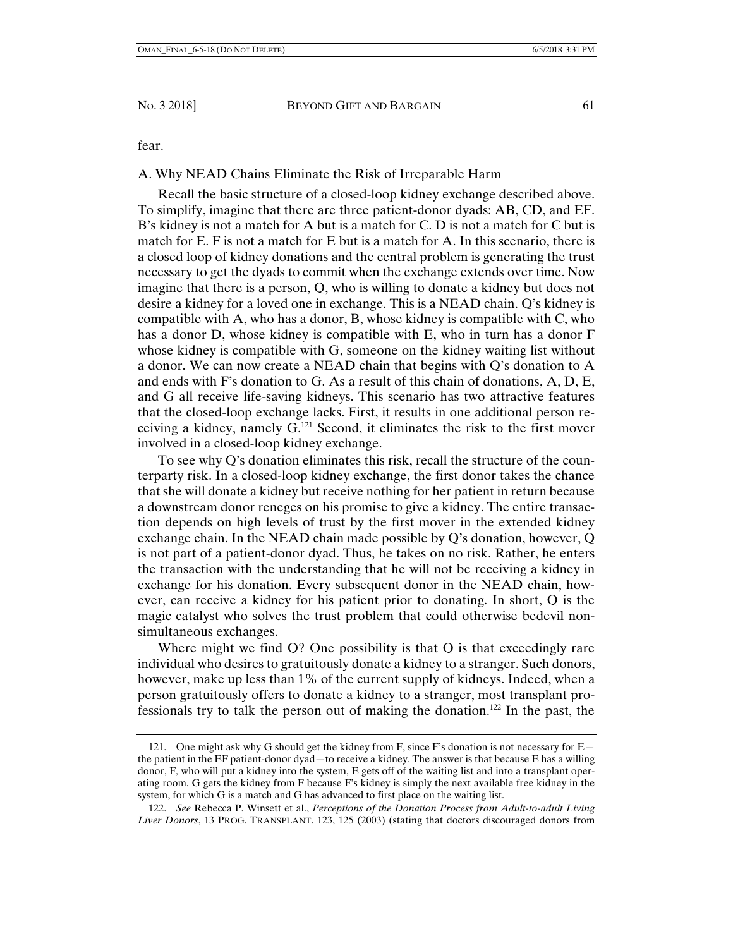fear.

## A. Why NEAD Chains Eliminate the Risk of Irreparable Harm

Recall the basic structure of a closed-loop kidney exchange described above. To simplify, imagine that there are three patient-donor dyads: AB, CD, and EF. B's kidney is not a match for A but is a match for C. D is not a match for C but is match for E. F is not a match for E but is a match for A. In this scenario, there is a closed loop of kidney donations and the central problem is generating the trust necessary to get the dyads to commit when the exchange extends over time. Now imagine that there is a person, Q, who is willing to donate a kidney but does not desire a kidney for a loved one in exchange. This is a NEAD chain. Q's kidney is compatible with A, who has a donor, B, whose kidney is compatible with C, who has a donor D, whose kidney is compatible with E, who in turn has a donor F whose kidney is compatible with G, someone on the kidney waiting list without a donor. We can now create a NEAD chain that begins with Q's donation to A and ends with F's donation to G. As a result of this chain of donations, A, D, E, and G all receive life-saving kidneys. This scenario has two attractive features that the closed-loop exchange lacks. First, it results in one additional person receiving a kidney, namely  $G<sup>121</sup>$  Second, it eliminates the risk to the first mover involved in a closed-loop kidney exchange.

To see why Q's donation eliminates this risk, recall the structure of the counterparty risk. In a closed-loop kidney exchange, the first donor takes the chance that she will donate a kidney but receive nothing for her patient in return because a downstream donor reneges on his promise to give a kidney. The entire transaction depends on high levels of trust by the first mover in the extended kidney exchange chain. In the NEAD chain made possible by Q's donation, however, Q is not part of a patient-donor dyad. Thus, he takes on no risk. Rather, he enters the transaction with the understanding that he will not be receiving a kidney in exchange for his donation. Every subsequent donor in the NEAD chain, however, can receive a kidney for his patient prior to donating. In short, Q is the magic catalyst who solves the trust problem that could otherwise bedevil nonsimultaneous exchanges.

Where might we find Q? One possibility is that Q is that exceedingly rare individual who desires to gratuitously donate a kidney to a stranger. Such donors, however, make up less than 1% of the current supply of kidneys. Indeed, when a person gratuitously offers to donate a kidney to a stranger, most transplant professionals try to talk the person out of making the donation.122 In the past, the

 <sup>121.</sup> One might ask why G should get the kidney from F, since F's donation is not necessary for E the patient in the EF patient-donor dyad—to receive a kidney. The answer is that because E has a willing donor, F, who will put a kidney into the system, E gets off of the waiting list and into a transplant operating room. G gets the kidney from F because F's kidney is simply the next available free kidney in the system, for which G is a match and G has advanced to first place on the waiting list.

 <sup>122.</sup> *See* Rebecca P. Winsett et al., *Perceptions of the Donation Process from Adult-to-adult Living Liver Donors*, 13 PROG. TRANSPLANT. 123, 125 (2003) (stating that doctors discouraged donors from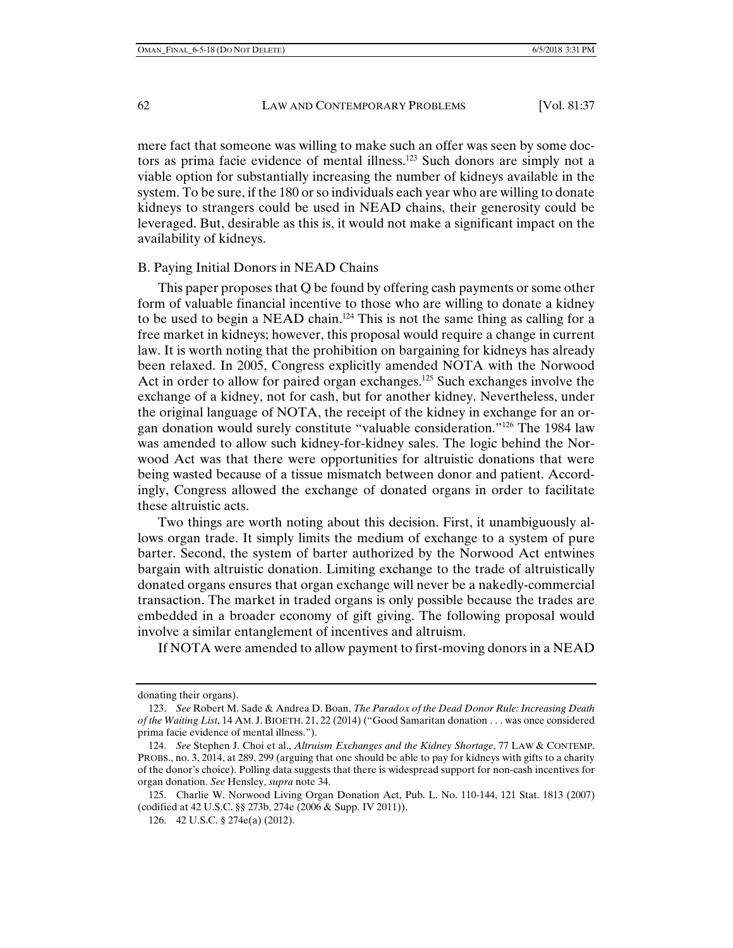mere fact that someone was willing to make such an offer was seen by some doctors as prima facie evidence of mental illness.123 Such donors are simply not a viable option for substantially increasing the number of kidneys available in the system. To be sure, if the 180 or so individuals each year who are willing to donate kidneys to strangers could be used in NEAD chains, their generosity could be leveraged. But, desirable as this is, it would not make a significant impact on the availability of kidneys.

## B. Paying Initial Donors in NEAD Chains

This paper proposes that Q be found by offering cash payments or some other form of valuable financial incentive to those who are willing to donate a kidney to be used to begin a NEAD chain.124 This is not the same thing as calling for a free market in kidneys; however, this proposal would require a change in current law. It is worth noting that the prohibition on bargaining for kidneys has already been relaxed. In 2005, Congress explicitly amended NOTA with the Norwood Act in order to allow for paired organ exchanges.<sup>125</sup> Such exchanges involve the exchange of a kidney, not for cash, but for another kidney. Nevertheless, under the original language of NOTA, the receipt of the kidney in exchange for an organ donation would surely constitute "valuable consideration."126 The 1984 law was amended to allow such kidney-for-kidney sales. The logic behind the Norwood Act was that there were opportunities for altruistic donations that were being wasted because of a tissue mismatch between donor and patient. Accordingly, Congress allowed the exchange of donated organs in order to facilitate these altruistic acts.

Two things are worth noting about this decision. First, it unambiguously allows organ trade. It simply limits the medium of exchange to a system of pure barter. Second, the system of barter authorized by the Norwood Act entwines bargain with altruistic donation. Limiting exchange to the trade of altruistically donated organs ensures that organ exchange will never be a nakedly-commercial transaction. The market in traded organs is only possible because the trades are embedded in a broader economy of gift giving. The following proposal would involve a similar entanglement of incentives and altruism.

If NOTA were amended to allow payment to first-moving donors in a NEAD

donating their organs).

 <sup>123.</sup> *See* Robert M. Sade & Andrea D. Boan, *The Paradox of the Dead Donor Rule: Increasing Death of the Waiting List*, 14 AM. J. BIOETH. 21, 22 (2014) ("Good Samaritan donation . . . was once considered prima facie evidence of mental illness.").

 <sup>124.</sup> *See* Stephen J. Choi et al., *Altruism Exchanges and the Kidney Shortage*, 77 LAW & CONTEMP. PROBS., no. 3, 2014, at 289, 299 (arguing that one should be able to pay for kidneys with gifts to a charity of the donor's choice). Polling data suggests that there is widespread support for non-cash incentives for organ donation. *See* Hensley, *supra* note 34.

 <sup>125.</sup> Charlie W. Norwood Living Organ Donation Act, Pub. L. No. 110-144, 121 Stat. 1813 (2007) (codified at 42 U.S.C. §§ 273b, 274e (2006 & Supp. IV 2011)).

 <sup>126. 42</sup> U.S.C. § 274e(a) (2012).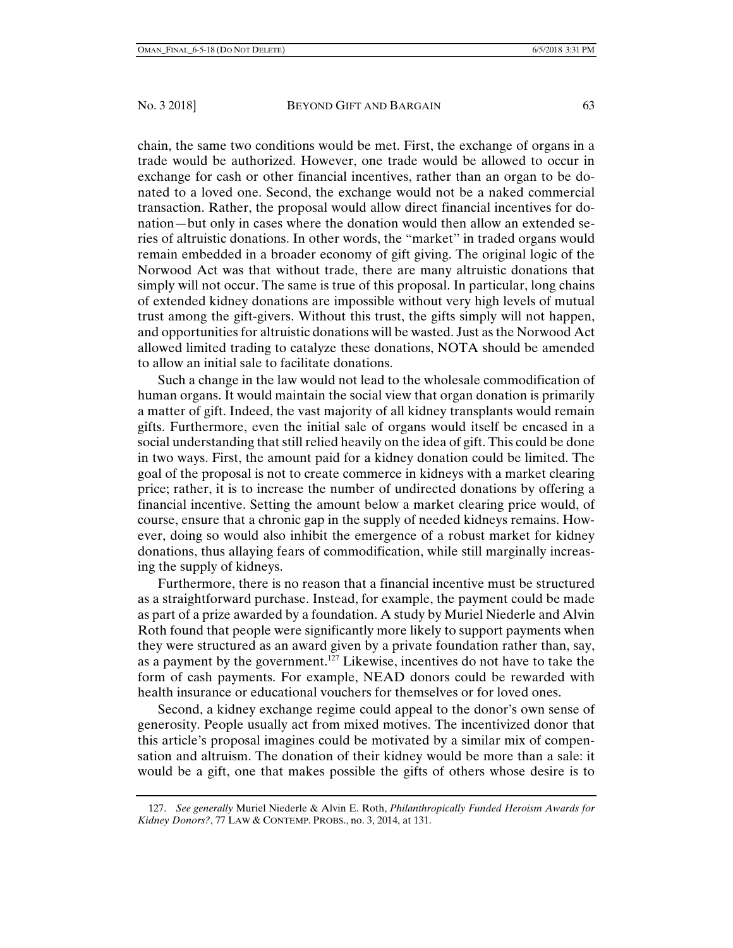chain, the same two conditions would be met. First, the exchange of organs in a trade would be authorized. However, one trade would be allowed to occur in exchange for cash or other financial incentives, rather than an organ to be donated to a loved one. Second, the exchange would not be a naked commercial transaction. Rather, the proposal would allow direct financial incentives for donation—but only in cases where the donation would then allow an extended series of altruistic donations. In other words, the "market" in traded organs would remain embedded in a broader economy of gift giving. The original logic of the Norwood Act was that without trade, there are many altruistic donations that simply will not occur. The same is true of this proposal. In particular, long chains of extended kidney donations are impossible without very high levels of mutual trust among the gift-givers. Without this trust, the gifts simply will not happen, and opportunities for altruistic donations will be wasted. Just as the Norwood Act allowed limited trading to catalyze these donations, NOTA should be amended to allow an initial sale to facilitate donations.

Such a change in the law would not lead to the wholesale commodification of human organs. It would maintain the social view that organ donation is primarily a matter of gift. Indeed, the vast majority of all kidney transplants would remain gifts. Furthermore, even the initial sale of organs would itself be encased in a social understanding that still relied heavily on the idea of gift. This could be done in two ways. First, the amount paid for a kidney donation could be limited. The goal of the proposal is not to create commerce in kidneys with a market clearing price; rather, it is to increase the number of undirected donations by offering a financial incentive. Setting the amount below a market clearing price would, of course, ensure that a chronic gap in the supply of needed kidneys remains. However, doing so would also inhibit the emergence of a robust market for kidney donations, thus allaying fears of commodification, while still marginally increasing the supply of kidneys.

Furthermore, there is no reason that a financial incentive must be structured as a straightforward purchase. Instead, for example, the payment could be made as part of a prize awarded by a foundation. A study by Muriel Niederle and Alvin Roth found that people were significantly more likely to support payments when they were structured as an award given by a private foundation rather than, say, as a payment by the government.<sup>127</sup> Likewise, incentives do not have to take the form of cash payments. For example, NEAD donors could be rewarded with health insurance or educational vouchers for themselves or for loved ones.

Second, a kidney exchange regime could appeal to the donor's own sense of generosity. People usually act from mixed motives. The incentivized donor that this article's proposal imagines could be motivated by a similar mix of compensation and altruism. The donation of their kidney would be more than a sale: it would be a gift, one that makes possible the gifts of others whose desire is to

 <sup>127.</sup> *See generally* Muriel Niederle & Alvin E. Roth, *Philanthropically Funded Heroism Awards for Kidney Donors?*, 77 LAW & CONTEMP. PROBS., no. 3, 2014, at 131.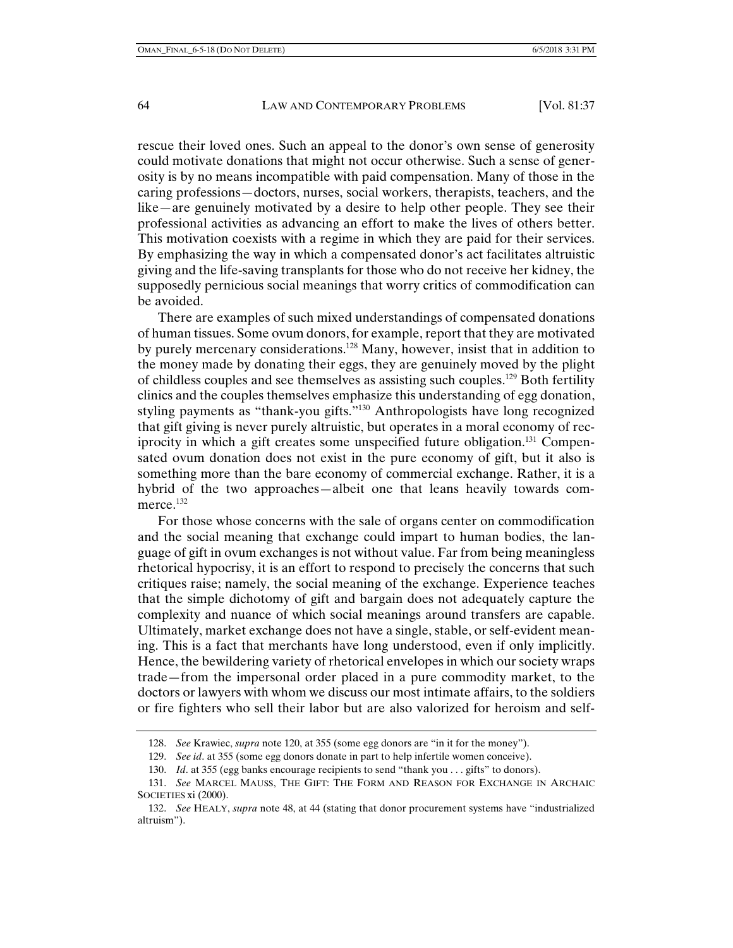rescue their loved ones. Such an appeal to the donor's own sense of generosity could motivate donations that might not occur otherwise. Such a sense of generosity is by no means incompatible with paid compensation. Many of those in the caring professions—doctors, nurses, social workers, therapists, teachers, and the like—are genuinely motivated by a desire to help other people. They see their professional activities as advancing an effort to make the lives of others better. This motivation coexists with a regime in which they are paid for their services. By emphasizing the way in which a compensated donor's act facilitates altruistic giving and the life-saving transplants for those who do not receive her kidney, the supposedly pernicious social meanings that worry critics of commodification can be avoided.

There are examples of such mixed understandings of compensated donations of human tissues. Some ovum donors, for example, report that they are motivated by purely mercenary considerations.128 Many, however, insist that in addition to the money made by donating their eggs, they are genuinely moved by the plight of childless couples and see themselves as assisting such couples.129 Both fertility clinics and the couples themselves emphasize this understanding of egg donation, styling payments as "thank-you gifts."130 Anthropologists have long recognized that gift giving is never purely altruistic, but operates in a moral economy of reciprocity in which a gift creates some unspecified future obligation.<sup>131</sup> Compensated ovum donation does not exist in the pure economy of gift, but it also is something more than the bare economy of commercial exchange. Rather, it is a hybrid of the two approaches—albeit one that leans heavily towards commerce.<sup>132</sup>

For those whose concerns with the sale of organs center on commodification and the social meaning that exchange could impart to human bodies, the language of gift in ovum exchanges is not without value. Far from being meaningless rhetorical hypocrisy, it is an effort to respond to precisely the concerns that such critiques raise; namely, the social meaning of the exchange. Experience teaches that the simple dichotomy of gift and bargain does not adequately capture the complexity and nuance of which social meanings around transfers are capable. Ultimately, market exchange does not have a single, stable, or self-evident meaning. This is a fact that merchants have long understood, even if only implicitly. Hence, the bewildering variety of rhetorical envelopes in which our society wraps trade—from the impersonal order placed in a pure commodity market, to the doctors or lawyers with whom we discuss our most intimate affairs, to the soldiers or fire fighters who sell their labor but are also valorized for heroism and self-

 <sup>128.</sup> *See* Krawiec, *supra* note 120, at 355 (some egg donors are "in it for the money").

 <sup>129.</sup> *See id*. at 355 (some egg donors donate in part to help infertile women conceive).

<sup>130.</sup> *Id.* at 355 (egg banks encourage recipients to send "thank you . . . gifts" to donors).

 <sup>131.</sup> *See* MARCEL MAUSS, THE GIFT: THE FORM AND REASON FOR EXCHANGE IN ARCHAIC SOCIETIES xi (2000).

 <sup>132.</sup> *See* HEALY, *supra* note 48, at 44 (stating that donor procurement systems have "industrialized altruism").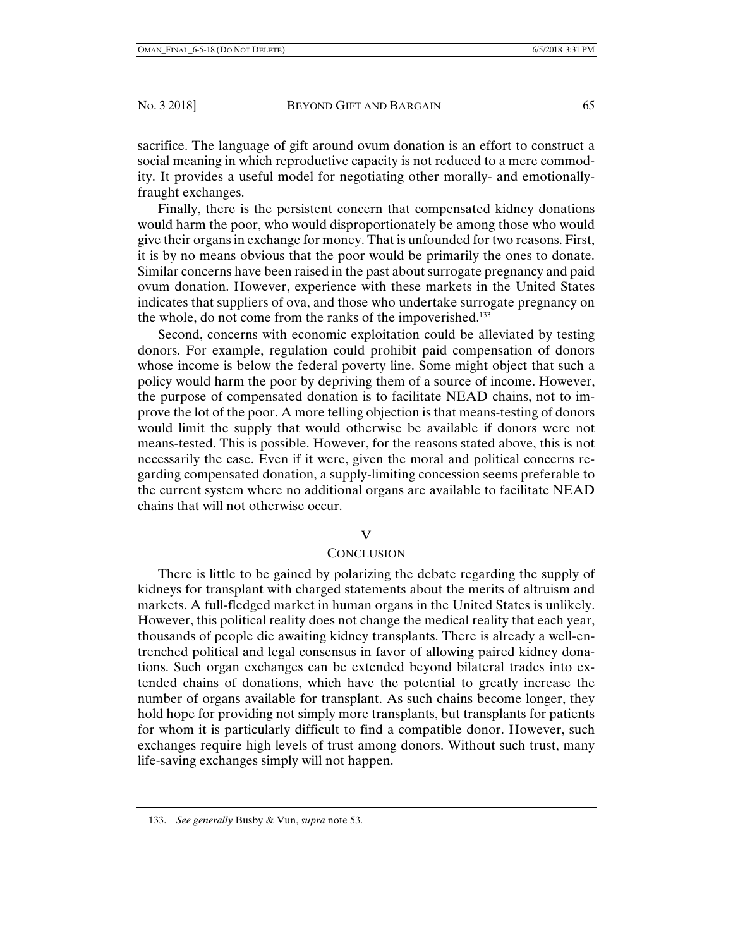sacrifice. The language of gift around ovum donation is an effort to construct a social meaning in which reproductive capacity is not reduced to a mere commodity. It provides a useful model for negotiating other morally- and emotionallyfraught exchanges.

Finally, there is the persistent concern that compensated kidney donations would harm the poor, who would disproportionately be among those who would give their organs in exchange for money. That is unfounded for two reasons. First, it is by no means obvious that the poor would be primarily the ones to donate. Similar concerns have been raised in the past about surrogate pregnancy and paid ovum donation. However, experience with these markets in the United States indicates that suppliers of ova, and those who undertake surrogate pregnancy on the whole, do not come from the ranks of the impoverished.<sup>133</sup>

Second, concerns with economic exploitation could be alleviated by testing donors. For example, regulation could prohibit paid compensation of donors whose income is below the federal poverty line. Some might object that such a policy would harm the poor by depriving them of a source of income. However, the purpose of compensated donation is to facilitate NEAD chains, not to improve the lot of the poor. A more telling objection is that means-testing of donors would limit the supply that would otherwise be available if donors were not means-tested. This is possible. However, for the reasons stated above, this is not necessarily the case. Even if it were, given the moral and political concerns regarding compensated donation, a supply-limiting concession seems preferable to the current system where no additional organs are available to facilitate NEAD chains that will not otherwise occur.

#### V

#### **CONCLUSION**

There is little to be gained by polarizing the debate regarding the supply of kidneys for transplant with charged statements about the merits of altruism and markets. A full-fledged market in human organs in the United States is unlikely. However, this political reality does not change the medical reality that each year, thousands of people die awaiting kidney transplants. There is already a well-entrenched political and legal consensus in favor of allowing paired kidney donations. Such organ exchanges can be extended beyond bilateral trades into extended chains of donations, which have the potential to greatly increase the number of organs available for transplant. As such chains become longer, they hold hope for providing not simply more transplants, but transplants for patients for whom it is particularly difficult to find a compatible donor. However, such exchanges require high levels of trust among donors. Without such trust, many life-saving exchanges simply will not happen.

 <sup>133.</sup> *See generally* Busby & Vun, *supra* note 53.